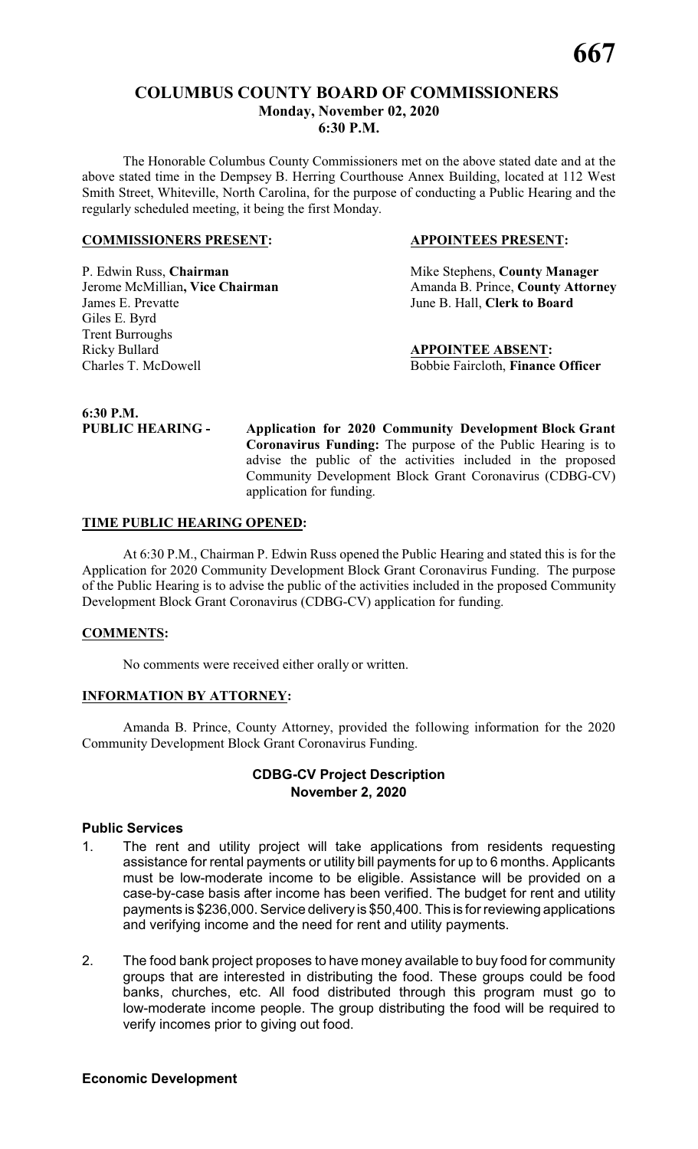### **COLUMBUS COUNTY BOARD OF COMMISSIONERS Monday, November 02, 2020 6:30 P.M.**

The Honorable Columbus County Commissioners met on the above stated date and at the above stated time in the Dempsey B. Herring Courthouse Annex Building, located at 112 West Smith Street, Whiteville, North Carolina, for the purpose of conducting a Public Hearing and the regularly scheduled meeting, it being the first Monday.

### **COMMISSIONERS PRESENT: APPOINTEES PRESENT:**

P. Edwin Russ, **Chairman** Mike Stephens, **County Manager** James E. Prevatte June B. Hall, **Clerk to Board** Giles E. Byrd Trent Burroughs Ricky Bullard **APPOINTEE ABSENT:** Charles T. McDowell Bobbie Faircloth, **Finance Officer**

**Jerome McMillian, Vice Chairman** Amanda B. Prince, **County Attorney** 

**6:30 P.M.**

**PUBLIC HEARING - Application for 2020 Community Development Block Grant Coronavirus Funding:** The purpose of the Public Hearing is to advise the public of the activities included in the proposed Community Development Block Grant Coronavirus (CDBG-CV) application for funding.

### **TIME PUBLIC HEARING OPENED:**

At 6:30 P.M., Chairman P. Edwin Russ opened the Public Hearing and stated this is for the Application for 2020 Community Development Block Grant Coronavirus Funding. The purpose of the Public Hearing is to advise the public of the activities included in the proposed Community Development Block Grant Coronavirus (CDBG-CV) application for funding.

### **COMMENTS:**

No comments were received either orally or written.

### **INFORMATION BY ATTORNEY:**

Amanda B. Prince, County Attorney, provided the following information for the 2020 Community Development Block Grant Coronavirus Funding.

### **CDBG-CV Project Description November 2, 2020**

### **Public Services**

- 1. The rent and utility project will take applications from residents requesting assistance for rental payments or utility bill payments for up to 6 months. Applicants must be low-moderate income to be eligible. Assistance will be provided on a case-by-case basis after income has been verified. The budget for rent and utility payments is \$236,000. Service delivery is \$50,400. This is for reviewing applications and verifying income and the need for rent and utility payments.
- 2. The food bank project proposes to have money available to buy food for community groups that are interested in distributing the food. These groups could be food banks, churches, etc. All food distributed through this program must go to low-moderate income people. The group distributing the food will be required to verify incomes prior to giving out food.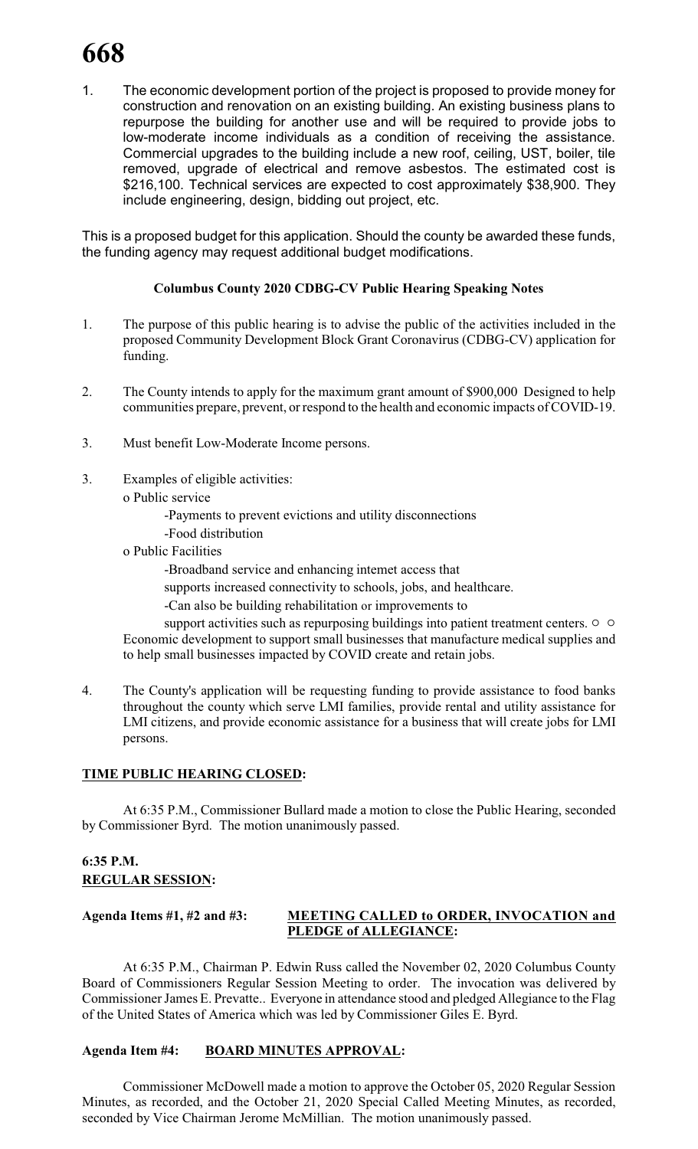1. The economic development portion of the project is proposed to provide money for construction and renovation on an existing building. An existing business plans to repurpose the building for another use and will be required to provide jobs to low-moderate income individuals as a condition of receiving the assistance. Commercial upgrades to the building include a new roof, ceiling, UST, boiler, tile removed, upgrade of electrical and remove asbestos. The estimated cost is \$216,100. Technical services are expected to cost approximately \$38,900. They include engineering, design, bidding out project, etc.

This is a proposed budget for this application. Should the county be awarded these funds, the funding agency may request additional budget modifications.

### **Columbus County 2020 CDBG-CV Public Hearing Speaking Notes**

- 1. The purpose of this public hearing is to advise the public of the activities included in the proposed Community Development Block Grant Coronavirus (CDBG-CV) application for funding.
- 2. The County intends to apply for the maximum grant amount of \$900,000 Designed to help communities prepare, prevent, or respond to the health and economic impacts of COVID-19.
- 3. Must benefit Low-Moderate Income persons.
- 3. Examples of eligible activities:
	- o Public service
		- -Payments to prevent evictions and utility disconnections
		- -Food distribution
	- o Public Facilities
		- -Broadband service and enhancing intemet access that
		- supports increased connectivity to schools, jobs, and healthcare.
		- -Can also be building rehabilitation or improvements to
	- support activities such as repurposing buildings into patient treatment centers.  $\circ$   $\circ$ Economic development to support small businesses that manufacture medical supplies and to help small businesses impacted by COVID create and retain jobs.
- 4. The County's application will be requesting funding to provide assistance to food banks throughout the county which serve LMI families, provide rental and utility assistance for LMI citizens, and provide economic assistance for a business that will create jobs for LMI persons.

### **TIME PUBLIC HEARING CLOSED:**

At 6:35 P.M., Commissioner Bullard made a motion to close the Public Hearing, seconded by Commissioner Byrd. The motion unanimously passed.

### **6:35 P.M. REGULAR SESSION:**

### **Agenda Items #1, #2 and #3: MEETING CALLED to ORDER, INVOCATION and PLEDGE of ALLEGIANCE:**

At 6:35 P.M., Chairman P. Edwin Russ called the November 02, 2020 Columbus County Board of Commissioners Regular Session Meeting to order. The invocation was delivered by Commissioner James E. Prevatte.. Everyone in attendance stood and pledged Allegiance to the Flag of the United States of America which was led by Commissioner Giles E. Byrd.

### **Agenda Item #4: BOARD MINUTES APPROVAL:**

Commissioner McDowell made a motion to approve the October 05, 2020 Regular Session Minutes, as recorded, and the October 21, 2020 Special Called Meeting Minutes, as recorded, seconded by Vice Chairman Jerome McMillian. The motion unanimously passed.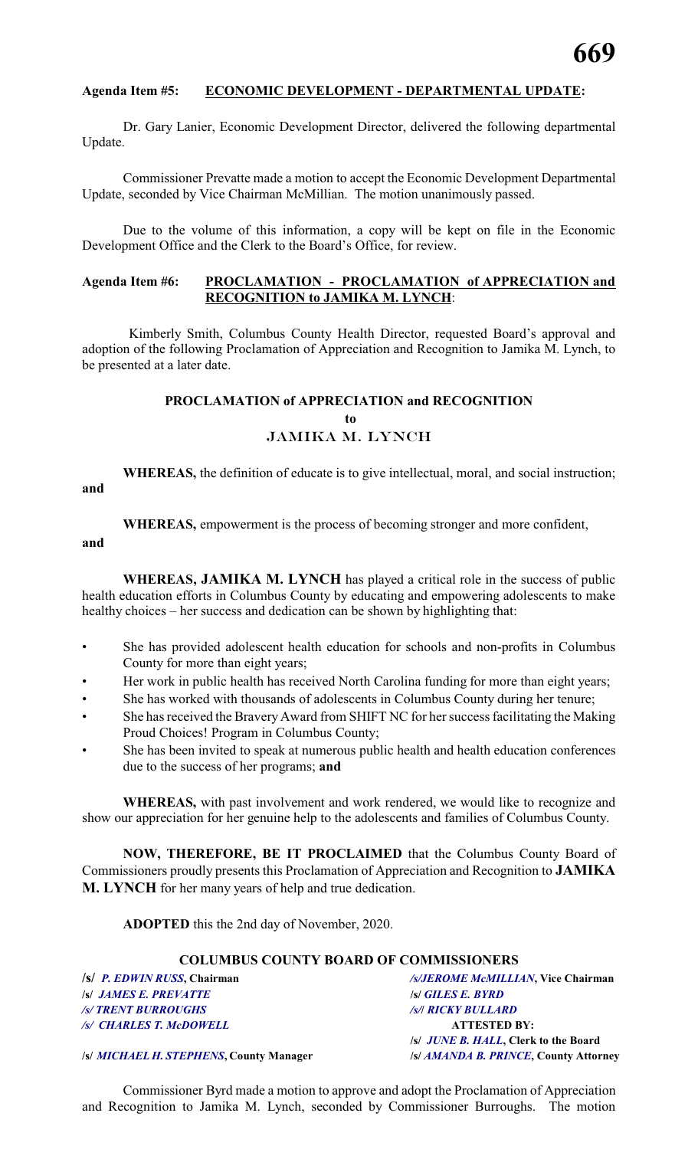### **Agenda Item #5: ECONOMIC DEVELOPMENT - DEPARTMENTAL UPDATE:**

Dr. Gary Lanier, Economic Development Director, delivered the following departmental Update.

Commissioner Prevatte made a motion to accept the Economic Development Departmental Update, seconded by Vice Chairman McMillian. The motion unanimously passed.

Due to the volume of this information, a copy will be kept on file in the Economic Development Office and the Clerk to the Board's Office, for review.

### **Agenda Item #6: PROCLAMATION - PROCLAMATION of APPRECIATION and RECOGNITION to JAMIKA M. LYNCH**:

Kimberly Smith, Columbus County Health Director, requested Board's approval and adoption of the following Proclamation of Appreciation and Recognition to Jamika M. Lynch, to be presented at a later date.

## **PROCLAMATION of APPRECIATION and RECOGNITION to** JAMIKA M. LYNCH

**WHEREAS,** the definition of educate is to give intellectual, moral, and social instruction;

**and**

**WHEREAS,** empowerment is the process of becoming stronger and more confident,

**and**

**WHEREAS, JAMIKA M. LYNCH** has played a critical role in the success of public health education efforts in Columbus County by educating and empowering adolescents to make healthy choices – her success and dedication can be shown by highlighting that:

- She has provided adolescent health education for schools and non-profits in Columbus County for more than eight years;
- Her work in public health has received North Carolina funding for more than eight years;
- She has worked with thousands of adolescents in Columbus County during her tenure;
- She has received the Bravery Award from SHIFT NC for her success facilitating the Making Proud Choices! Program in Columbus County;
- She has been invited to speak at numerous public health and health education conferences due to the success of her programs; **and**

**WHEREAS,** with past involvement and work rendered, we would like to recognize and show our appreciation for her genuine help to the adolescents and families of Columbus County.

**NOW, THEREFORE, BE IT PROCLAIMED** that the Columbus County Board of Commissioners proudly presents this Proclamation of Appreciation and Recognition to **JAMIKA M. LYNCH** for her many years of help and true dedication.

**ADOPTED** this the 2nd day of November, 2020.

### **COLUMBUS COUNTY BOARD OF COMMISSIONERS**

**/s/** *JAMES E. PREVATTE* **/s/** *GILES E. BYRD /s/ TRENT BURROUGHS /s/***/** *RICKY BULLARD /s/ CHARLES T. McDOWELL* **ATTESTED BY:**

**/s/** *P. EDWIN RUSS***, Chairman** */s/JEROME McMILLIAN***, Vice Chairman /s/** *JUNE B. HALL***, Clerk to the Board**

**/s/** *MICHAEL H. STEPHENS***, County Manager /s/** *AMANDA B. PRINCE***, County Attorney**

Commissioner Byrd made a motion to approve and adopt the Proclamation of Appreciation and Recognition to Jamika M. Lynch, seconded by Commissioner Burroughs. The motion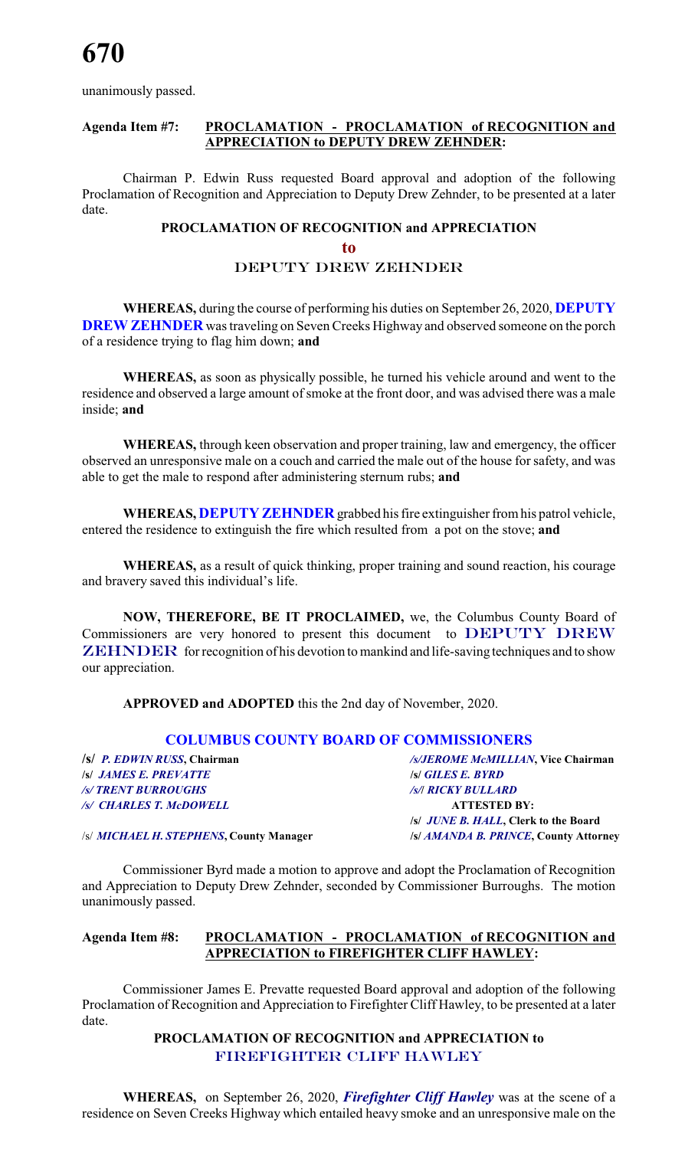unanimously passed.

### **Agenda Item #7: PROCLAMATION - PROCLAMATION of RECOGNITION and APPRECIATION to DEPUTY DREW ZEHNDER:**

Chairman P. Edwin Russ requested Board approval and adoption of the following Proclamation of Recognition and Appreciation to Deputy Drew Zehnder, to be presented at a later date.

## **PROCLAMATION OF RECOGNITION and APPRECIATION to** *DEPUTY DREW ZEHNDER*

**WHEREAS,** during the course of performing his duties on September 26, 2020, **DEPUTY DREW ZEHNDER** was traveling on Seven Creeks Highway and observed someone on the porch of a residence trying to flag him down; **and**

**WHEREAS,** as soon as physically possible, he turned his vehicle around and went to the residence and observed a large amount of smoke at the front door, and was advised there was a male inside; **and**

**WHEREAS,** through keen observation and proper training, law and emergency, the officer observed an unresponsive male on a couch and carried the male out of the house for safety, and was able to get the male to respond after administering sternum rubs; **and**

**WHEREAS, DEPUTY ZEHNDER** grabbed his fire extinguisher from his patrol vehicle, entered the residence to extinguish the fire which resulted from a pot on the stove; **and**

**WHEREAS,** as a result of quick thinking, proper training and sound reaction, his courage and bravery saved this individual's life.

**NOW, THEREFORE, BE IT PROCLAIMED,** we, the Columbus County Board of Commissioners are very honored to present this document to *DEPUTY DREW ZEHNDER* for recognition of his devotion to mankind and life-saving techniques and to show our appreciation.

**APPROVED and ADOPTED** this the 2nd day of November, 2020.

### **COLUMBUS COUNTY BOARD OF COMMISSIONERS**

**/s/** *JAMES E. PREVATTE* **/s/** *GILES E. BYRD /s/ TRENT BURROUGHS /s/***/** *RICKY BULLARD /s/ CHARLES T. McDOWELL* **ATTESTED BY:**

**/s/** *P. EDWIN RUSS***, Chairman** */s/JEROME McMILLIAN***, Vice Chairman /s/** *JUNE B. HALL***, Clerk to the Board**

/s/ *MICHAEL H. STEPHENS***, County Manager /s/** *AMANDA B. PRINCE***, County Attorney**

Commissioner Byrd made a motion to approve and adopt the Proclamation of Recognition and Appreciation to Deputy Drew Zehnder, seconded by Commissioner Burroughs. The motion unanimously passed.

### **Agenda Item #8: PROCLAMATION - PROCLAMATION of RECOGNITION and APPRECIATION to FIREFIGHTER CLIFF HAWLEY:**

Commissioner James E. Prevatte requested Board approval and adoption of the following Proclamation of Recognition and Appreciation to Firefighter Cliff Hawley, to be presented at a later date.

### **PROCLAMATION OF RECOGNITION and APPRECIATION to** *FIREFIGHTER CLIFF HAWLEY*

**WHEREAS,** on September 26, 2020, *Firefighter Cliff Hawley* was at the scene of a residence on Seven Creeks Highway which entailed heavy smoke and an unresponsive male on the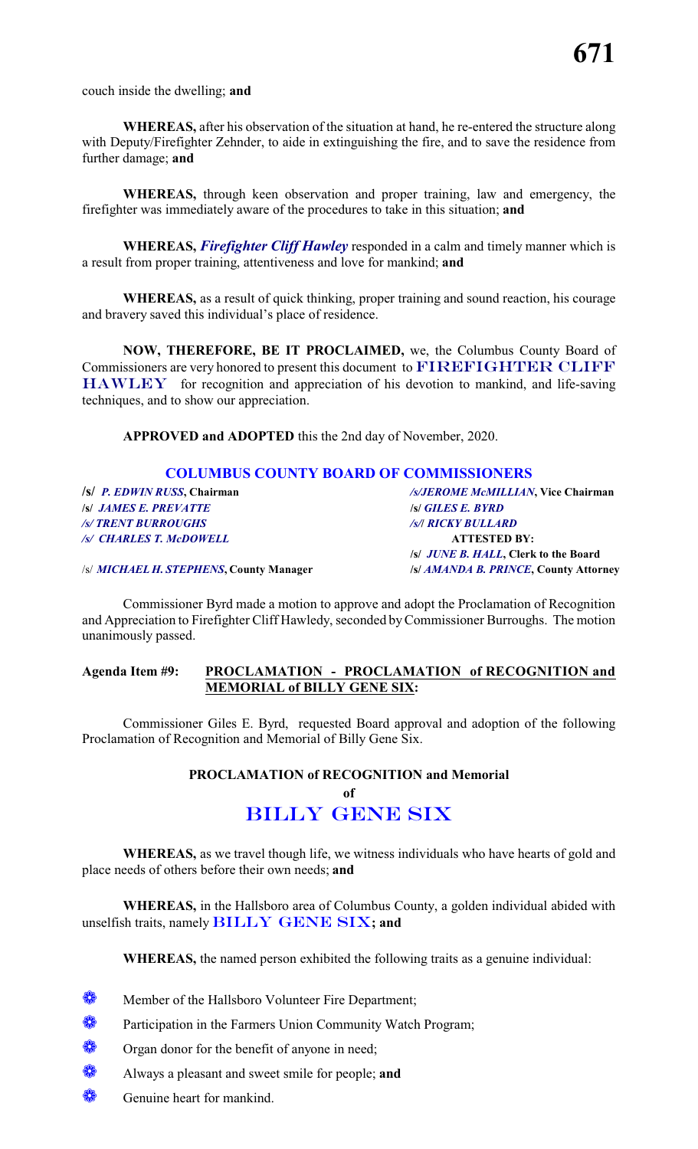couch inside the dwelling; **and**

**WHEREAS,** after his observation of the situation at hand, he re-entered the structure along with Deputy/Firefighter Zehnder, to aide in extinguishing the fire, and to save the residence from further damage; **and**

**WHEREAS,** through keen observation and proper training, law and emergency, the firefighter was immediately aware of the procedures to take in this situation; **and**

**WHEREAS,** *Firefighter Cliff Hawley* responded in a calm and timely manner which is a result from proper training, attentiveness and love for mankind; **and**

**WHEREAS,** as a result of quick thinking, proper training and sound reaction, his courage and bravery saved this individual's place of residence.

**NOW, THEREFORE, BE IT PROCLAIMED,** we, the Columbus County Board of Commissioners are very honored to present this document to **FIREFIGHTER CLIFF HAWLEY** for recognition and appreciation of his devotion to mankind, and life-saving techniques, and to show our appreciation.

**APPROVED and ADOPTED** this the 2nd day of November, 2020.

### **COLUMBUS COUNTY BOARD OF COMMISSIONERS**

**/s/** *JAMES E. PREVATTE* **/s/** *GILES E. BYRD /s/ TRENT BURROUGHS /s/***/** *RICKY BULLARD /s/ CHARLES T. McDOWELL* **ATTESTED BY:**

**/s/** *P. EDWIN RUSS***, Chairman** */s/JEROME McMILLIAN***, Vice Chairman /s/** *JUNE B. HALL***, Clerk to the Board**

/s/ *MICHAEL H. STEPHENS***, County Manager /s/** *AMANDA B. PRINCE***, County Attorney**

Commissioner Byrd made a motion to approve and adopt the Proclamation of Recognition and Appreciation to Firefighter Cliff Hawledy, seconded byCommissioner Burroughs. The motion unanimously passed.

### **Agenda Item #9: PROCLAMATION - PROCLAMATION of RECOGNITION and MEMORIAL of BILLY GENE SIX:**

Commissioner Giles E. Byrd, requested Board approval and adoption of the following Proclamation of Recognition and Memorial of Billy Gene Six.

**PROCLAMATION of RECOGNITION and Memorial**

## **of** *BILLY GENE SIX*

**WHEREAS,** as we travel though life, we witness individuals who have hearts of gold and place needs of others before their own needs; **and**

**WHEREAS,** in the Hallsboro area of Columbus County, a golden individual abided with unselfish traits, namely *BILLY GENE SIX***; and**

**WHEREAS,** the named person exhibited the following traits as a genuine individual:

- **W** Member of the Hallsboro Volunteer Fire Department;
- **Participation in the Farmers Union Community Watch Program;**
- Organ donor for the benefit of anyone in need;
- Always a pleasant and sweet smile for people; **and**
- Genuine heart for mankind.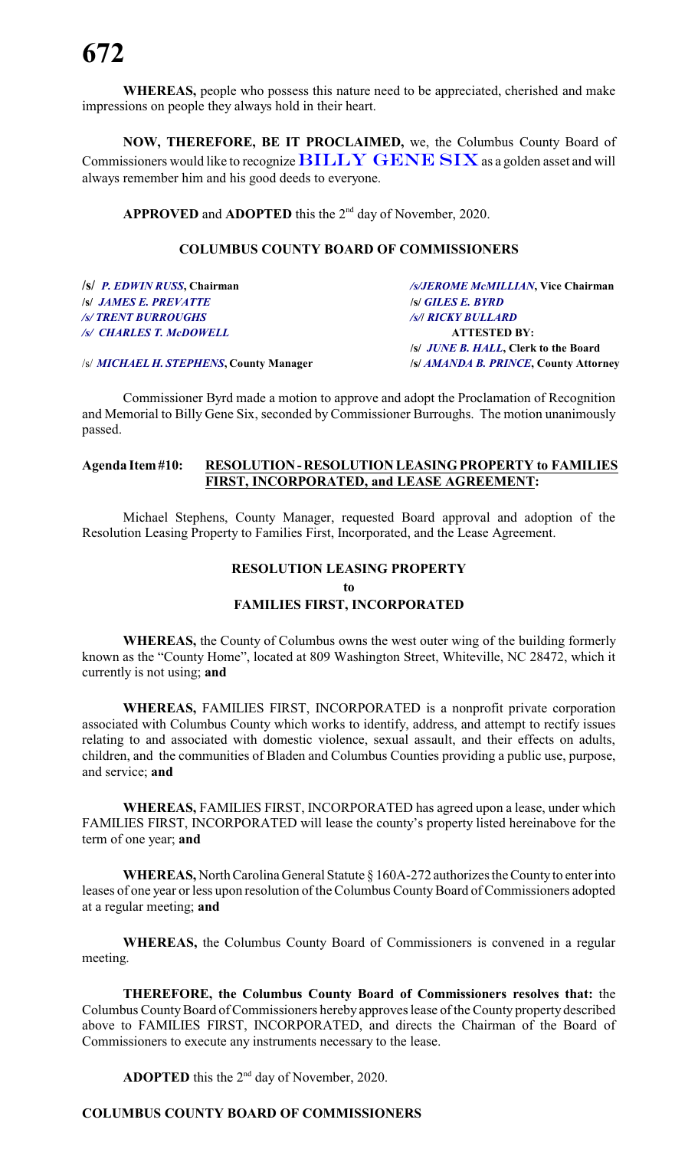**WHEREAS,** people who possess this nature need to be appreciated, cherished and make impressions on people they always hold in their heart.

**NOW, THEREFORE, BE IT PROCLAIMED,** we, the Columbus County Board of Commissioners would like to recognize *BILLY GENE SIX*as a golden asset and will always remember him and his good deeds to everyone.

APPROVED and ADOPTED this the 2<sup>nd</sup> day of November, 2020.

### **COLUMBUS COUNTY BOARD OF COMMISSIONERS**

| /s/JEROME McMILLIAN, Vice Chairman           |
|----------------------------------------------|
| <b>S GILES E. BYRD</b>                       |
| <b>/s/  RICKY BULLARD</b>                    |
| <b>ATTESTED BY:</b>                          |
| /s/ <i>JUNE B. HALL</i> , Clerk to the Board |
| /s/ AMANDA B. PRINCE, County Attorney        |
|                                              |

Commissioner Byrd made a motion to approve and adopt the Proclamation of Recognition and Memorial to Billy Gene Six, seconded by Commissioner Burroughs. The motion unanimously passed.

### **Agenda Item#10: RESOLUTION-RESOLUTION LEASINGPROPERTY to FAMILIES FIRST, INCORPORATED, and LEASE AGREEMENT:**

Michael Stephens, County Manager, requested Board approval and adoption of the Resolution Leasing Property to Families First, Incorporated, and the Lease Agreement.

### **RESOLUTION LEASING PROPERTY**

**to**

### **FAMILIES FIRST, INCORPORATED**

**WHEREAS,** the County of Columbus owns the west outer wing of the building formerly known as the "County Home", located at 809 Washington Street, Whiteville, NC 28472, which it currently is not using; **and**

**WHEREAS,** FAMILIES FIRST, INCORPORATED is a nonprofit private corporation associated with Columbus County which works to identify, address, and attempt to rectify issues relating to and associated with domestic violence, sexual assault, and their effects on adults, children, and the communities of Bladen and Columbus Counties providing a public use, purpose, and service; **and**

**WHEREAS,** FAMILIES FIRST, INCORPORATED has agreed upon a lease, under which FAMILIES FIRST, INCORPORATED will lease the county's property listed hereinabove for the term of one year; **and**

**WHEREAS,** North Carolina General Statute § 160A-272 authorizes the Countyto enter into leases of one year or less upon resolution of the Columbus County Board of Commissioners adopted at a regular meeting; **and**

**WHEREAS,** the Columbus County Board of Commissioners is convened in a regular meeting.

**THEREFORE, the Columbus County Board of Commissioners resolves that:** the Columbus CountyBoard of Commissioners hereby approves lease of the County property described above to FAMILIES FIRST, INCORPORATED, and directs the Chairman of the Board of Commissioners to execute any instruments necessary to the lease.

**ADOPTED** this the  $2<sup>nd</sup>$  day of November, 2020.

### **COLUMBUS COUNTY BOARD OF COMMISSIONERS**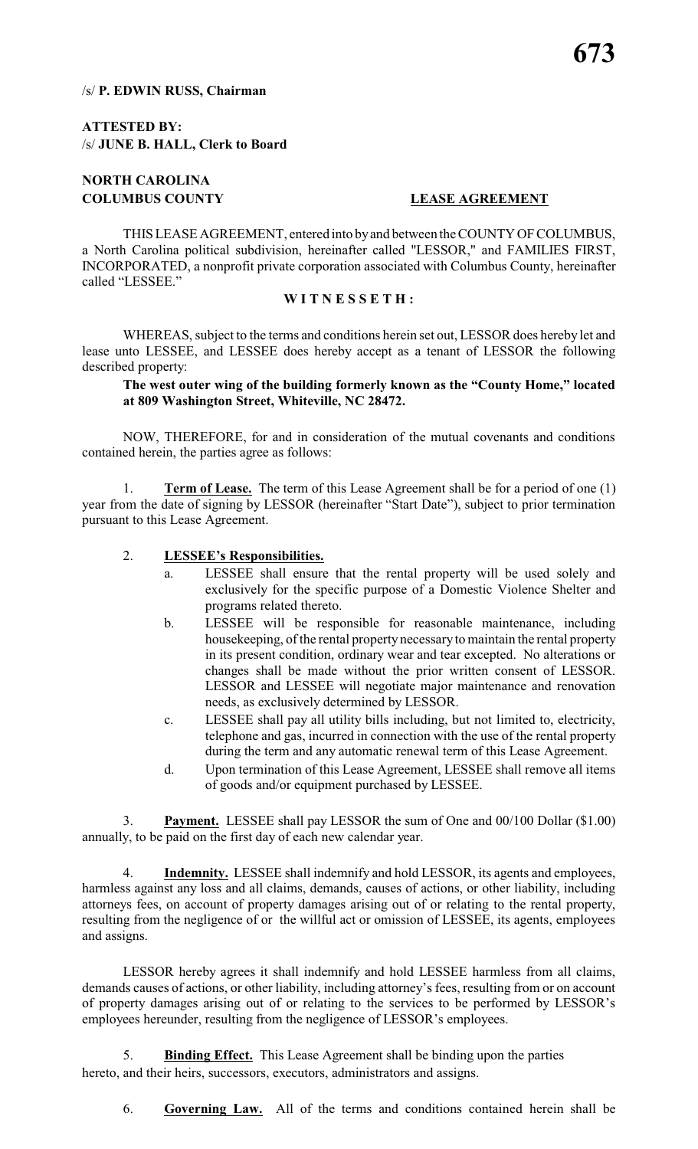### /s/ **P. EDWIN RUSS, Chairman**

### **ATTESTED BY:** /s/ **JUNE B. HALL, Clerk to Board**

### **NORTH CAROLINA COLUMBUS COUNTY LEASE AGREEMENT**

THIS LEASE AGREEMENT, entered into by and between the COUNTY OF COLUMBUS, a North Carolina political subdivision, hereinafter called "LESSOR," and FAMILIES FIRST, INCORPORATED, a nonprofit private corporation associated with Columbus County, hereinafter called "LESSEE."

### **W I T N E S S E T H :**

WHEREAS, subject to the terms and conditions herein set out, LESSOR does hereby let and lease unto LESSEE, and LESSEE does hereby accept as a tenant of LESSOR the following described property:

### **The west outer wing of the building formerly known as the "County Home," located at 809 Washington Street, Whiteville, NC 28472.**

NOW, THEREFORE, for and in consideration of the mutual covenants and conditions contained herein, the parties agree as follows:

1. **Term of Lease.** The term of this Lease Agreement shall be for a period of one (1) year from the date of signing by LESSOR (hereinafter "Start Date"), subject to prior termination pursuant to this Lease Agreement.

### 2. **LESSEE's Responsibilities.**

- a. LESSEE shall ensure that the rental property will be used solely and exclusively for the specific purpose of a Domestic Violence Shelter and programs related thereto.
- b. LESSEE will be responsible for reasonable maintenance, including housekeeping, of the rental property necessaryto maintain the rental property in its present condition, ordinary wear and tear excepted. No alterations or changes shall be made without the prior written consent of LESSOR. LESSOR and LESSEE will negotiate major maintenance and renovation needs, as exclusively determined by LESSOR.
- c. LESSEE shall pay all utility bills including, but not limited to, electricity, telephone and gas, incurred in connection with the use of the rental property during the term and any automatic renewal term of this Lease Agreement.
- d. Upon termination of this Lease Agreement, LESSEE shall remove all items of goods and/or equipment purchased by LESSEE.

3. **Payment.** LESSEE shall pay LESSOR the sum of One and 00/100 Dollar (\$1.00) annually, to be paid on the first day of each new calendar year.

4. **Indemnity.** LESSEE shall indemnify and hold LESSOR, its agents and employees, harmless against any loss and all claims, demands, causes of actions, or other liability, including attorneys fees, on account of property damages arising out of or relating to the rental property, resulting from the negligence of or the willful act or omission of LESSEE, its agents, employees and assigns.

LESSOR hereby agrees it shall indemnify and hold LESSEE harmless from all claims, demands causes of actions, or other liability, including attorney's fees, resulting from or on account of property damages arising out of or relating to the services to be performed by LESSOR's employees hereunder, resulting from the negligence of LESSOR's employees.

5. **Binding Effect.** This Lease Agreement shall be binding upon the parties hereto, and their heirs, successors, executors, administrators and assigns.

6. **Governing Law.** All of the terms and conditions contained herein shall be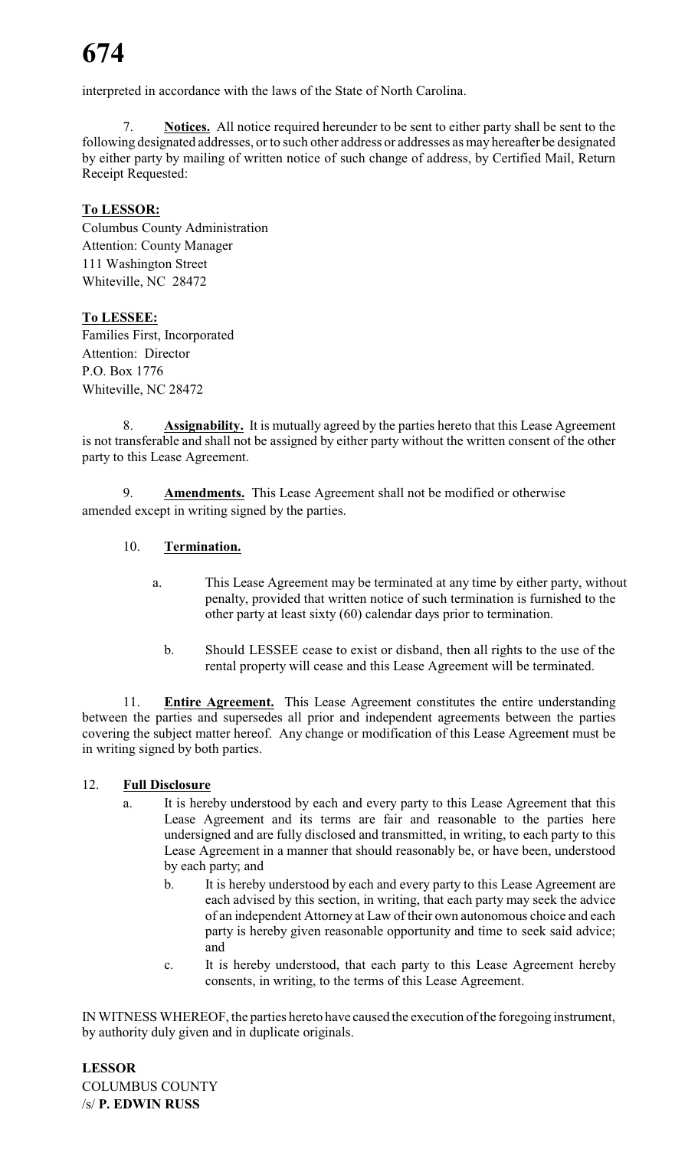interpreted in accordance with the laws of the State of North Carolina.

7. **Notices.** All notice required hereunder to be sent to either party shall be sent to the following designated addresses, or to such other address or addresses as may hereafter be designated by either party by mailing of written notice of such change of address, by Certified Mail, Return Receipt Requested:

## **To LESSOR:**

Columbus County Administration Attention: County Manager 111 Washington Street Whiteville, NC 28472

## **To LESSEE:**

Families First, Incorporated Attention: Director P.O. Box 1776 Whiteville, NC 28472

8. **Assignability.** It is mutually agreed by the parties hereto that this Lease Agreement is not transferable and shall not be assigned by either party without the written consent of the other party to this Lease Agreement.

9. **Amendments.** This Lease Agreement shall not be modified or otherwise amended except in writing signed by the parties.

## 10. **Termination.**

- a. This Lease Agreement may be terminated at any time by either party, without penalty, provided that written notice of such termination is furnished to the other party at least sixty (60) calendar days prior to termination.
	- b. Should LESSEE cease to exist or disband, then all rights to the use of the rental property will cease and this Lease Agreement will be terminated.

11. **Entire Agreement.** This Lease Agreement constitutes the entire understanding between the parties and supersedes all prior and independent agreements between the parties covering the subject matter hereof. Any change or modification of this Lease Agreement must be in writing signed by both parties.

### 12. **Full Disclosure**

- a. It is hereby understood by each and every party to this Lease Agreement that this Lease Agreement and its terms are fair and reasonable to the parties here undersigned and are fully disclosed and transmitted, in writing, to each party to this Lease Agreement in a manner that should reasonably be, or have been, understood by each party; and
	- b. It is hereby understood by each and every party to this Lease Agreement are each advised by this section, in writing, that each party may seek the advice of an independent Attorney at Law of their own autonomous choice and each party is hereby given reasonable opportunity and time to seek said advice; and
	- c. It is hereby understood, that each party to this Lease Agreement hereby consents, in writing, to the terms of this Lease Agreement.

IN WITNESS WHEREOF, the parties hereto have caused the execution of the foregoing instrument, by authority duly given and in duplicate originals.

**LESSOR** COLUMBUS COUNTY /s/ **P. EDWIN RUSS**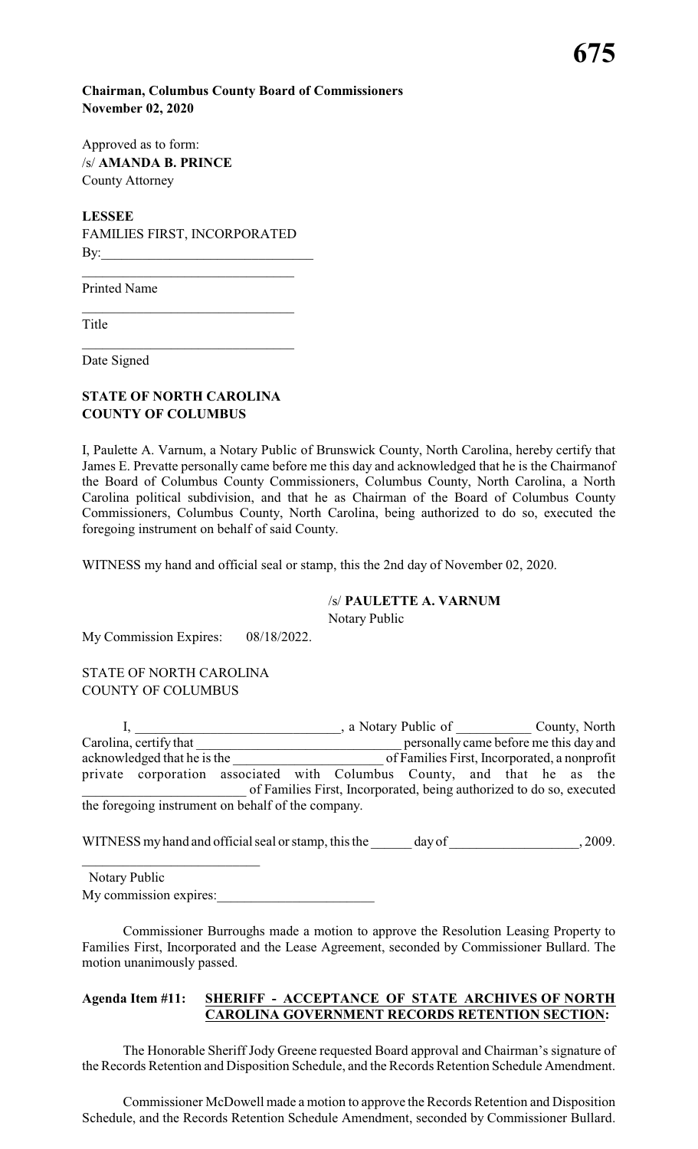### **Chairman, Columbus County Board of Commissioners November 02, 2020**

Approved as to form: /s/ **AMANDA B. PRINCE** County Attorney

**LESSEE** FAMILIES FIRST, INCORPORATED By:\_\_\_\_\_\_\_\_\_\_\_\_\_\_\_\_\_\_\_\_\_\_\_\_\_\_\_\_\_\_\_

Printed Name

Title

Date Signed

### **STATE OF NORTH CAROLINA COUNTY OF COLUMBUS**

\_\_\_\_\_\_\_\_\_\_\_\_\_\_\_\_\_\_\_\_\_\_\_\_\_\_\_\_\_\_\_

I, Paulette A. Varnum, a Notary Public of Brunswick County, North Carolina, hereby certify that James E. Prevatte personally came before me this day and acknowledged that he is the Chairmanof the Board of Columbus County Commissioners, Columbus County, North Carolina, a North Carolina political subdivision, and that he as Chairman of the Board of Columbus County Commissioners, Columbus County, North Carolina, being authorized to do so, executed the foregoing instrument on behalf of said County.

WITNESS my hand and official seal or stamp, this the 2nd day of November 02, 2020.

### /s/ **PAULETTE A. VARNUM**

Notary Public

My Commission Expires: 08/18/2022.

STATE OF NORTH CAROLINA COUNTY OF COLUMBUS

I, \_\_\_\_\_\_\_\_\_\_\_\_\_\_\_\_\_\_\_\_\_\_\_, a Notary Public of \_\_\_\_\_\_\_\_\_\_\_ County, North Carolina, certify that personally came before me this day and<br>acknowledged that he is the **notation** of Families First, Incorporated, a nonprofit acknowledged that he is the \_\_\_\_\_\_\_\_\_\_\_\_\_\_\_\_\_\_\_\_\_\_ of Families First, Incorporated, a nonprofit private corporation associated with Columbus County, and that he as the \_\_\_\_\_\_\_\_\_\_\_\_\_\_\_\_\_\_\_\_\_\_\_\_ of Families First, Incorporated, being authorized to do so, executed the foregoing instrument on behalf of the company.

WITNESS my hand and official seal or stamp, this the \_\_\_\_\_\_\_ day of  $\qquad \qquad$ , 2009.

 Notary Public My commission expires:

Commissioner Burroughs made a motion to approve the Resolution Leasing Property to Families First, Incorporated and the Lease Agreement, seconded by Commissioner Bullard. The motion unanimously passed.

### **Agenda Item #11: SHERIFF - ACCEPTANCE OF STATE ARCHIVES OF NORTH CAROLINA GOVERNMENT RECORDS RETENTION SECTION:**

The Honorable Sheriff Jody Greene requested Board approval and Chairman's signature of the Records Retention and Disposition Schedule, and the Records Retention Schedule Amendment.

Commissioner McDowell made a motion to approve the Records Retention and Disposition Schedule, and the Records Retention Schedule Amendment, seconded by Commissioner Bullard.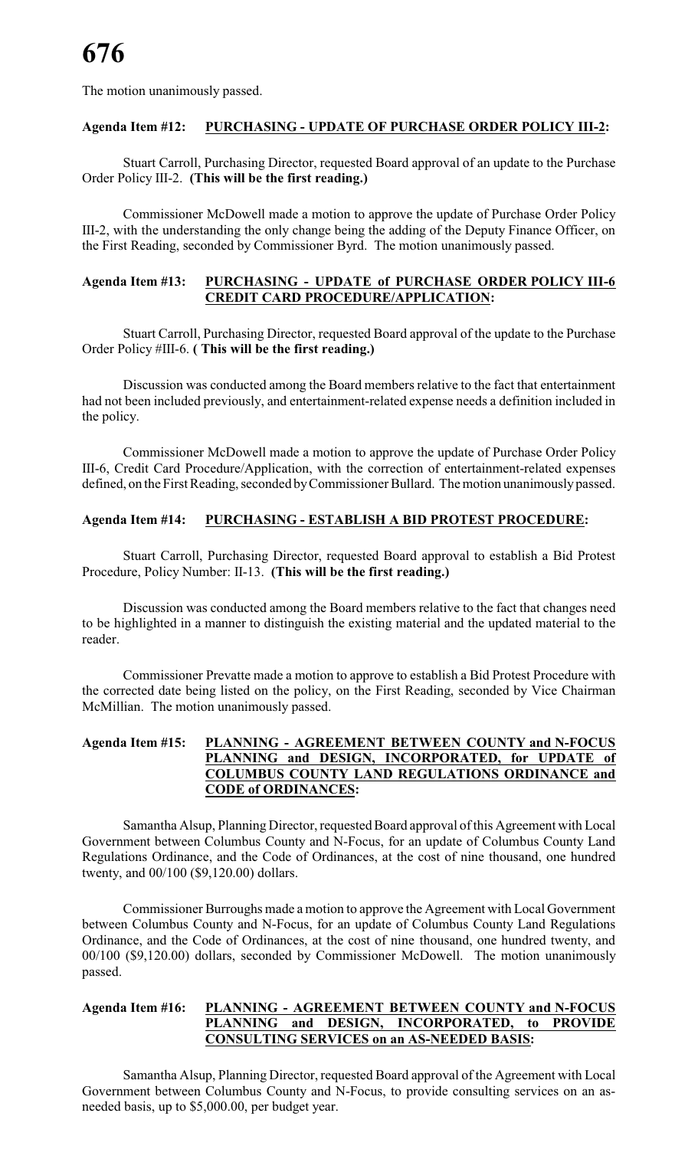The motion unanimously passed.

### **Agenda Item #12: PURCHASING - UPDATE OF PURCHASE ORDER POLICY III-2:**

Stuart Carroll, Purchasing Director, requested Board approval of an update to the Purchase Order Policy III-2. **(This will be the first reading.)**

Commissioner McDowell made a motion to approve the update of Purchase Order Policy III-2, with the understanding the only change being the adding of the Deputy Finance Officer, on the First Reading, seconded by Commissioner Byrd. The motion unanimously passed.

### **Agenda Item #13: PURCHASING - UPDATE of PURCHASE ORDER POLICY III-6 CREDIT CARD PROCEDURE/APPLICATION:**

Stuart Carroll, Purchasing Director, requested Board approval of the update to the Purchase Order Policy #III-6. **( This will be the first reading.)**

Discussion was conducted among the Board members relative to the fact that entertainment had not been included previously, and entertainment-related expense needs a definition included in the policy.

Commissioner McDowell made a motion to approve the update of Purchase Order Policy III-6, Credit Card Procedure/Application, with the correction of entertainment-related expenses defined, on the First Reading, seconded by Commissioner Bullard. The motion unanimously passed.

### **Agenda Item #14: PURCHASING - ESTABLISH A BID PROTEST PROCEDURE:**

Stuart Carroll, Purchasing Director, requested Board approval to establish a Bid Protest Procedure, Policy Number: II-13. **(This will be the first reading.)**

Discussion was conducted among the Board members relative to the fact that changes need to be highlighted in a manner to distinguish the existing material and the updated material to the reader.

Commissioner Prevatte made a motion to approve to establish a Bid Protest Procedure with the corrected date being listed on the policy, on the First Reading, seconded by Vice Chairman McMillian. The motion unanimously passed.

### **Agenda Item #15: PLANNING - AGREEMENT BETWEEN COUNTY and N-FOCUS PLANNING and DESIGN, INCORPORATED, for UPDATE of COLUMBUS COUNTY LAND REGULATIONS ORDINANCE and CODE of ORDINANCES:**

Samantha Alsup, Planning Director, requested Board approval of this Agreement with Local Government between Columbus County and N-Focus, for an update of Columbus County Land Regulations Ordinance, and the Code of Ordinances, at the cost of nine thousand, one hundred twenty, and 00/100 (\$9,120.00) dollars.

Commissioner Burroughs made a motion to approve the Agreement with Local Government between Columbus County and N-Focus, for an update of Columbus County Land Regulations Ordinance, and the Code of Ordinances, at the cost of nine thousand, one hundred twenty, and 00/100 (\$9,120.00) dollars, seconded by Commissioner McDowell. The motion unanimously passed.

### **Agenda Item #16: PLANNING - AGREEMENT BETWEEN COUNTY and N-FOCUS PLANNING and DESIGN, INCORPORATED, to PROVIDE CONSULTING SERVICES on an AS-NEEDED BASIS:**

Samantha Alsup, Planning Director, requested Board approval of the Agreement with Local Government between Columbus County and N-Focus, to provide consulting services on an asneeded basis, up to \$5,000.00, per budget year.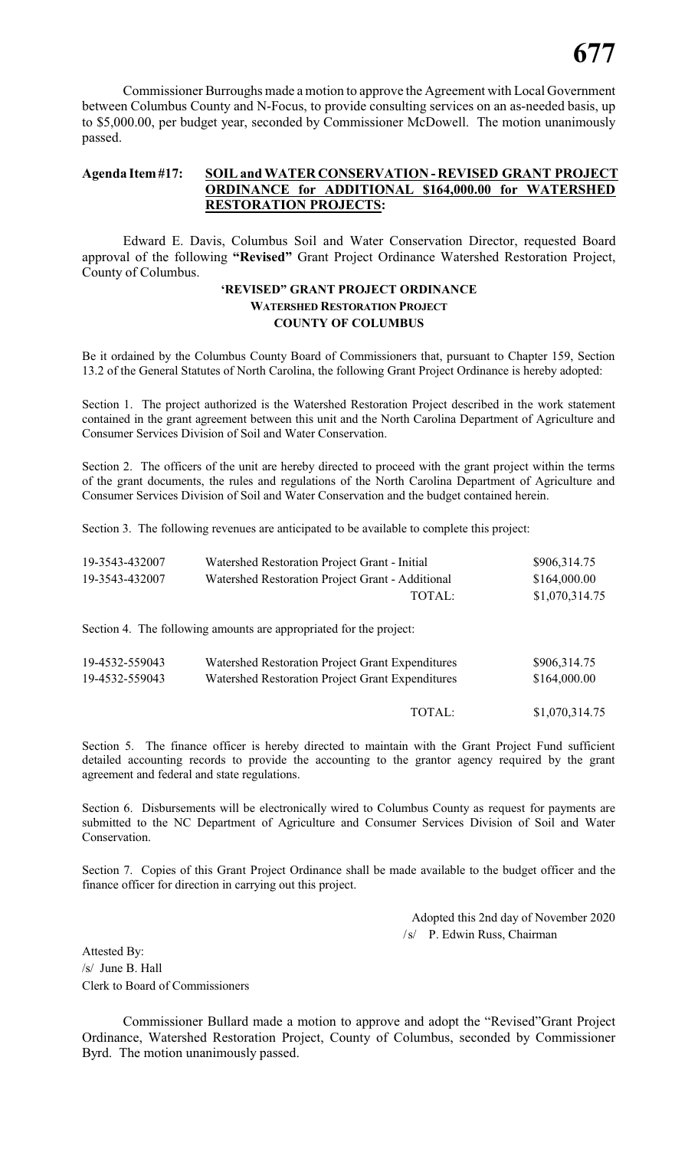Commissioner Burroughs made a motion to approve the Agreement with Local Government between Columbus County and N-Focus, to provide consulting services on an as-needed basis, up to \$5,000.00, per budget year, seconded by Commissioner McDowell. The motion unanimously passed.

### **Agenda Item#17: SOIL and WATER CONSERVATION - REVISED GRANT PROJECT ORDINANCE for ADDITIONAL \$164,000.00 for WATERSHED RESTORATION PROJECTS:**

Edward E. Davis, Columbus Soil and Water Conservation Director, requested Board approval of the following **"Revised"** Grant Project Ordinance Watershed Restoration Project, County of Columbus.

### **'REVISED" GRANT PROJECT ORDINANCE WATERSHED RESTORATION PROJECT COUNTY OF COLUMBUS**

Be it ordained by the Columbus County Board of Commissioners that, pursuant to Chapter 159, Section 13.2 of the General Statutes of North Carolina, the following Grant Project Ordinance is hereby adopted:

Section 1. The project authorized is the Watershed Restoration Project described in the work statement contained in the grant agreement between this unit and the North Carolina Department of Agriculture and Consumer Services Division of Soil and Water Conservation.

Section 2. The officers of the unit are hereby directed to proceed with the grant project within the terms of the grant documents, the rules and regulations of the North Carolina Department of Agriculture and Consumer Services Division of Soil and Water Conservation and the budget contained herein.

Section 3. The following revenues are anticipated to be available to complete this project:

| 19-3543-432007 | Watershed Restoration Project Grant - Initial                      | \$906,314.75   |
|----------------|--------------------------------------------------------------------|----------------|
| 19-3543-432007 | Watershed Restoration Project Grant - Additional                   | \$164,000.00   |
|                | TOTAL:                                                             | \$1,070,314.75 |
|                | Section 4. The following amounts are appropriated for the project: |                |
| 19-4532-559043 | Watershed Restoration Project Grant Expenditures                   | \$906,314.75   |
| 19-4532-559043 | Watershed Restoration Project Grant Expenditures                   | \$164,000.00   |
|                | TOTAL:                                                             | \$1,070,314.75 |

Section 5. The finance officer is hereby directed to maintain with the Grant Project Fund sufficient detailed accounting records to provide the accounting to the grantor agency required by the grant agreement and federal and state regulations.

Section 6. Disbursements will be electronically wired to Columbus County as request for payments are submitted to the NC Department of Agriculture and Consumer Services Division of Soil and Water Conservation.

Section 7. Copies of this Grant Project Ordinance shall be made available to the budget officer and the finance officer for direction in carrying out this project.

> Adopted this 2nd day of November 2020 /s/ P. Edwin Russ, Chairman

Attested By: /s/ June B. Hall Clerk to Board of Commissioners

Commissioner Bullard made a motion to approve and adopt the "Revised"Grant Project Ordinance, Watershed Restoration Project, County of Columbus, seconded by Commissioner Byrd. The motion unanimously passed.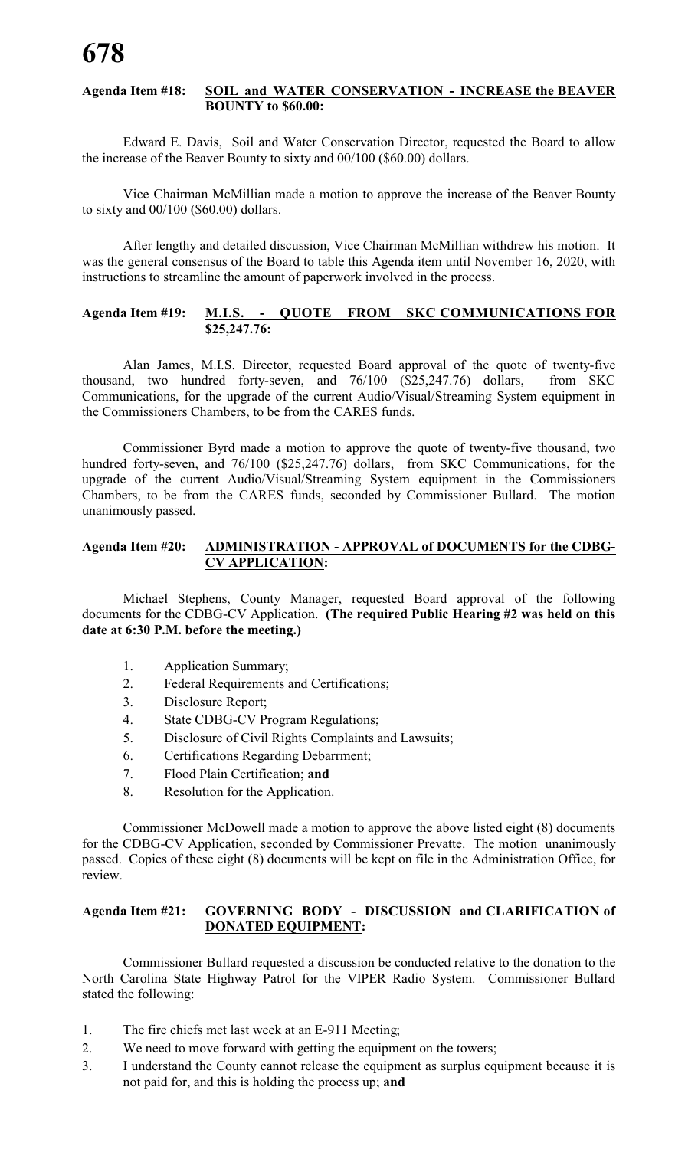### **Agenda Item #18: SOIL and WATER CONSERVATION - INCREASE the BEAVER BOUNTY to \$60.00:**

Edward E. Davis, Soil and Water Conservation Director, requested the Board to allow the increase of the Beaver Bounty to sixty and 00/100 (\$60.00) dollars.

Vice Chairman McMillian made a motion to approve the increase of the Beaver Bounty to sixty and 00/100 (\$60.00) dollars.

After lengthy and detailed discussion, Vice Chairman McMillian withdrew his motion. It was the general consensus of the Board to table this Agenda item until November 16, 2020, with instructions to streamline the amount of paperwork involved in the process.

### **Agenda Item #19: M.I.S. - QUOTE FROM SKC COMMUNICATIONS FOR \$25,247.76:**

Alan James, M.I.S. Director, requested Board approval of the quote of twenty-five thousand, two hundred forty-seven, and 76/100 (\$25,247.76) dollars, from SKC Communications, for the upgrade of the current Audio/Visual/Streaming System equipment in the Commissioners Chambers, to be from the CARES funds.

Commissioner Byrd made a motion to approve the quote of twenty-five thousand, two hundred forty-seven, and 76/100 (\$25,247.76) dollars, from SKC Communications, for the upgrade of the current Audio/Visual/Streaming System equipment in the Commissioners Chambers, to be from the CARES funds, seconded by Commissioner Bullard. The motion unanimously passed.

### **Agenda Item #20: ADMINISTRATION - APPROVAL of DOCUMENTS for the CDBG-CV APPLICATION:**

Michael Stephens, County Manager, requested Board approval of the following documents for the CDBG-CV Application. **(The required Public Hearing #2 was held on this date at 6:30 P.M. before the meeting.)**

- 1. Application Summary;
- 2. Federal Requirements and Certifications;
- 3. Disclosure Report;
- 4. State CDBG-CV Program Regulations;
- 5. Disclosure of Civil Rights Complaints and Lawsuits;
- 6. Certifications Regarding Debarrment;
- 7. Flood Plain Certification; **and**
- 8. Resolution for the Application.

Commissioner McDowell made a motion to approve the above listed eight (8) documents for the CDBG-CV Application, seconded by Commissioner Prevatte. The motion unanimously passed. Copies of these eight (8) documents will be kept on file in the Administration Office, for review.

### **Agenda Item #21: GOVERNING BODY - DISCUSSION and CLARIFICATION of DONATED EQUIPMENT:**

Commissioner Bullard requested a discussion be conducted relative to the donation to the North Carolina State Highway Patrol for the VIPER Radio System. Commissioner Bullard stated the following:

- 1. The fire chiefs met last week at an E-911 Meeting;
- 2. We need to move forward with getting the equipment on the towers;
- 3. I understand the County cannot release the equipment as surplus equipment because it is not paid for, and this is holding the process up; **and**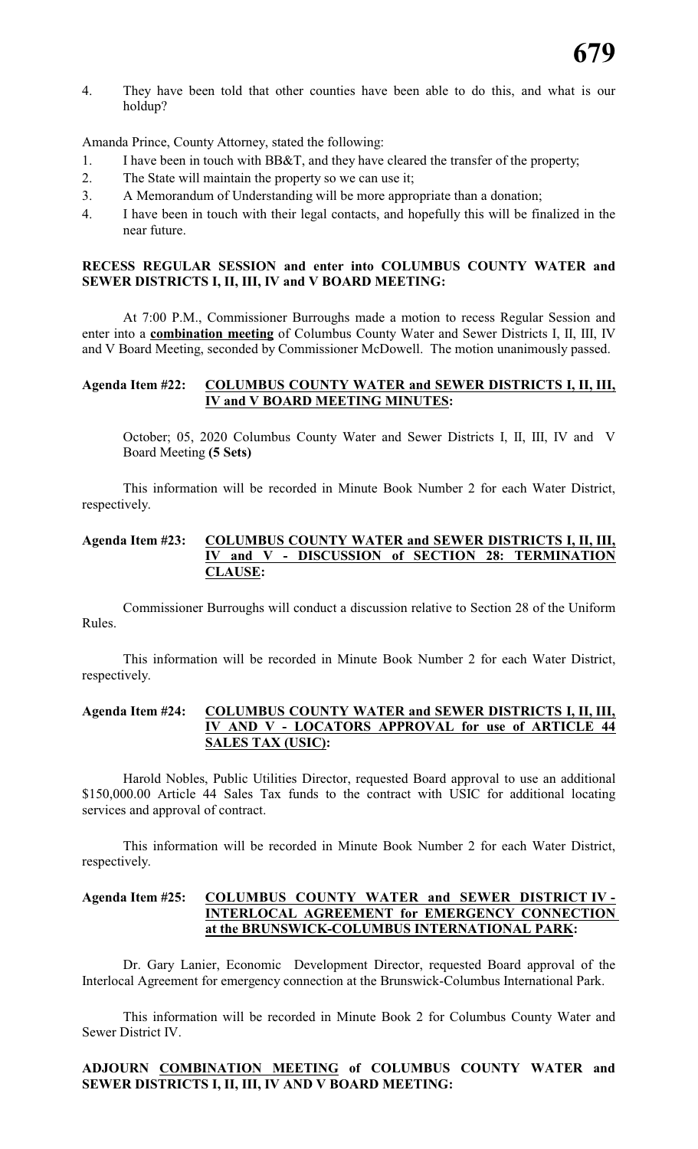4. They have been told that other counties have been able to do this, and what is our holdup?

Amanda Prince, County Attorney, stated the following:

- 1. I have been in touch with BB&T, and they have cleared the transfer of the property;
- 2. The State will maintain the property so we can use it;
- 3. A Memorandum of Understanding will be more appropriate than a donation;
- 4. I have been in touch with their legal contacts, and hopefully this will be finalized in the near future.

### **RECESS REGULAR SESSION and enter into COLUMBUS COUNTY WATER and SEWER DISTRICTS I, II, III, IV and V BOARD MEETING:**

At 7:00 P.M., Commissioner Burroughs made a motion to recess Regular Session and enter into a **combination meeting** of Columbus County Water and Sewer Districts I, II, III, IV and V Board Meeting, seconded by Commissioner McDowell. The motion unanimously passed.

### **Agenda Item #22: COLUMBUS COUNTY WATER and SEWER DISTRICTS I, II, III, IV and V BOARD MEETING MINUTES:**

October; 05, 2020 Columbus County Water and Sewer Districts I, II, III, IV and V Board Meeting **(5 Sets)**

This information will be recorded in Minute Book Number 2 for each Water District, respectively.

### **Agenda Item #23: COLUMBUS COUNTY WATER and SEWER DISTRICTS I, II, III, IV and V - DISCUSSION of SECTION 28: TERMINATION CLAUSE:**

Commissioner Burroughs will conduct a discussion relative to Section 28 of the Uniform Rules.

This information will be recorded in Minute Book Number 2 for each Water District, respectively.

### **Agenda Item #24: COLUMBUS COUNTY WATER and SEWER DISTRICTS I, II, III, IV AND V - LOCATORS APPROVAL for use of ARTICLE 44 SALES TAX (USIC):**

Harold Nobles, Public Utilities Director, requested Board approval to use an additional \$150,000.00 Article 44 Sales Tax funds to the contract with USIC for additional locating services and approval of contract.

This information will be recorded in Minute Book Number 2 for each Water District, respectively.

### **Agenda Item #25: COLUMBUS COUNTY WATER and SEWER DISTRICT IV - INTERLOCAL AGREEMENT for EMERGENCY CONNECTION at the BRUNSWICK-COLUMBUS INTERNATIONAL PARK:**

Dr. Gary Lanier, Economic Development Director, requested Board approval of the Interlocal Agreement for emergency connection at the Brunswick-Columbus International Park.

This information will be recorded in Minute Book 2 for Columbus County Water and Sewer District IV.

### **ADJOURN COMBINATION MEETING of COLUMBUS COUNTY WATER and SEWER DISTRICTS I, II, III, IV AND V BOARD MEETING:**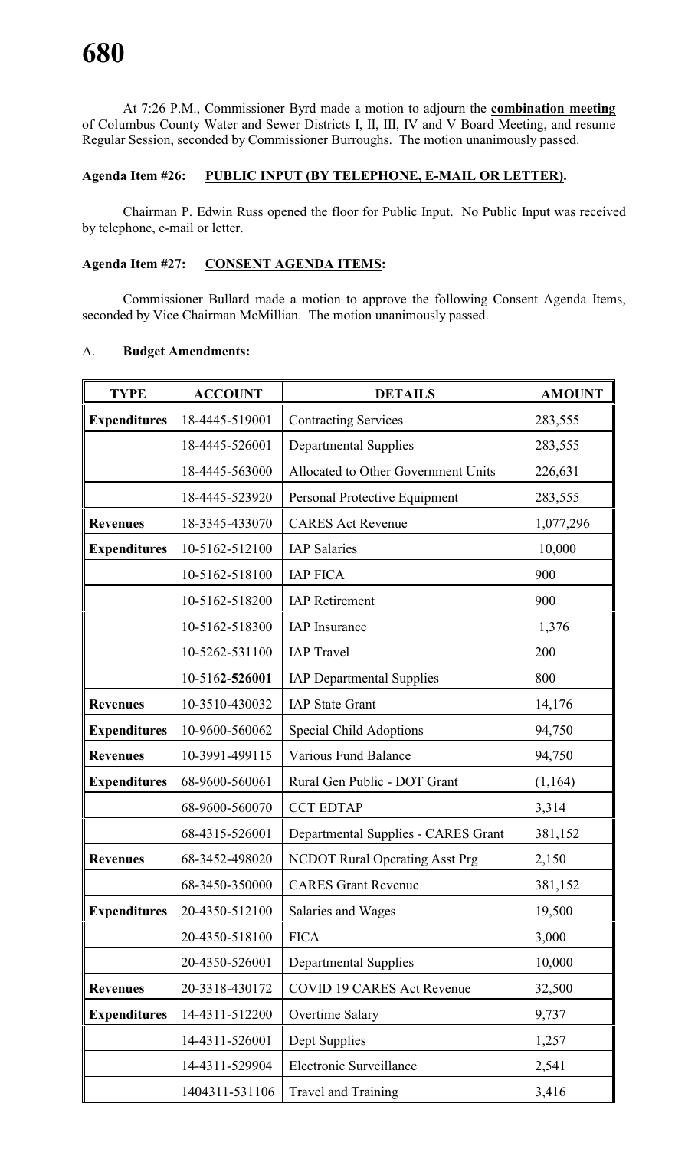At 7:26 P.M., Commissioner Byrd made a motion to adjourn the **combination meeting** of Columbus County Water and Sewer Districts I, II, III, IV and V Board Meeting, and resume Regular Session, seconded by Commissioner Burroughs. The motion unanimously passed.

### **Agenda Item #26: PUBLIC INPUT (BY TELEPHONE, E-MAIL OR LETTER).**

Chairman P. Edwin Russ opened the floor for Public Input. No Public Input was received by telephone, e-mail or letter.

### **Agenda Item #27: CONSENT AGENDA ITEMS:**

Commissioner Bullard made a motion to approve the following Consent Agenda Items, seconded by Vice Chairman McMillian. The motion unanimously passed.

| <b>TYPE</b>         | <b>ACCOUNT</b> | <b>DETAILS</b>                        | <b>AMOUNT</b> |
|---------------------|----------------|---------------------------------------|---------------|
| <b>Expenditures</b> | 18-4445-519001 | <b>Contracting Services</b>           | 283,555       |
|                     | 18-4445-526001 | <b>Departmental Supplies</b>          | 283,555       |
|                     | 18-4445-563000 | Allocated to Other Government Units   | 226,631       |
|                     | 18-4445-523920 | Personal Protective Equipment         | 283,555       |
| <b>Revenues</b>     | 18-3345-433070 | <b>CARES Act Revenue</b>              | 1,077,296     |
| <b>Expenditures</b> | 10-5162-512100 | <b>IAP</b> Salaries                   | 10,000        |
|                     | 10-5162-518100 | <b>IAP FICA</b>                       | 900           |
|                     | 10-5162-518200 | <b>IAP</b> Retirement                 | 900           |
|                     | 10-5162-518300 | <b>IAP</b> Insurance                  | 1,376         |
|                     | 10-5262-531100 | <b>IAP</b> Travel                     | 200           |
|                     | 10-5162-526001 | <b>IAP Departmental Supplies</b>      | 800           |
| <b>Revenues</b>     | 10-3510-430032 | <b>IAP State Grant</b>                | 14,176        |
| <b>Expenditures</b> | 10-9600-560062 | <b>Special Child Adoptions</b>        | 94,750        |
| <b>Revenues</b>     | 10-3991-499115 | <b>Various Fund Balance</b>           | 94,750        |
| <b>Expenditures</b> | 68-9600-560061 | Rural Gen Public - DOT Grant          | (1,164)       |
|                     | 68-9600-560070 | <b>CCT EDTAP</b>                      | 3,314         |
|                     | 68-4315-526001 | Departmental Supplies - CARES Grant   | 381,152       |
| <b>Revenues</b>     | 68-3452-498020 | <b>NCDOT Rural Operating Asst Prg</b> | 2,150         |
|                     | 68-3450-350000 | <b>CARES Grant Revenue</b>            | 381,152       |
| <b>Expenditures</b> | 20-4350-512100 | Salaries and Wages                    | 19,500        |
|                     | 20-4350-518100 | <b>FICA</b>                           | 3,000         |
|                     | 20-4350-526001 | <b>Departmental Supplies</b>          | 10,000        |
| <b>Revenues</b>     | 20-3318-430172 | <b>COVID 19 CARES Act Revenue</b>     | 32,500        |
| <b>Expenditures</b> | 14-4311-512200 | Overtime Salary                       | 9,737         |
|                     | 14-4311-526001 | Dept Supplies                         | 1,257         |
|                     | 14-4311-529904 | Electronic Surveillance               | 2,541         |
|                     | 1404311-531106 | Travel and Training                   | 3,416         |

### A. **Budget Amendments:**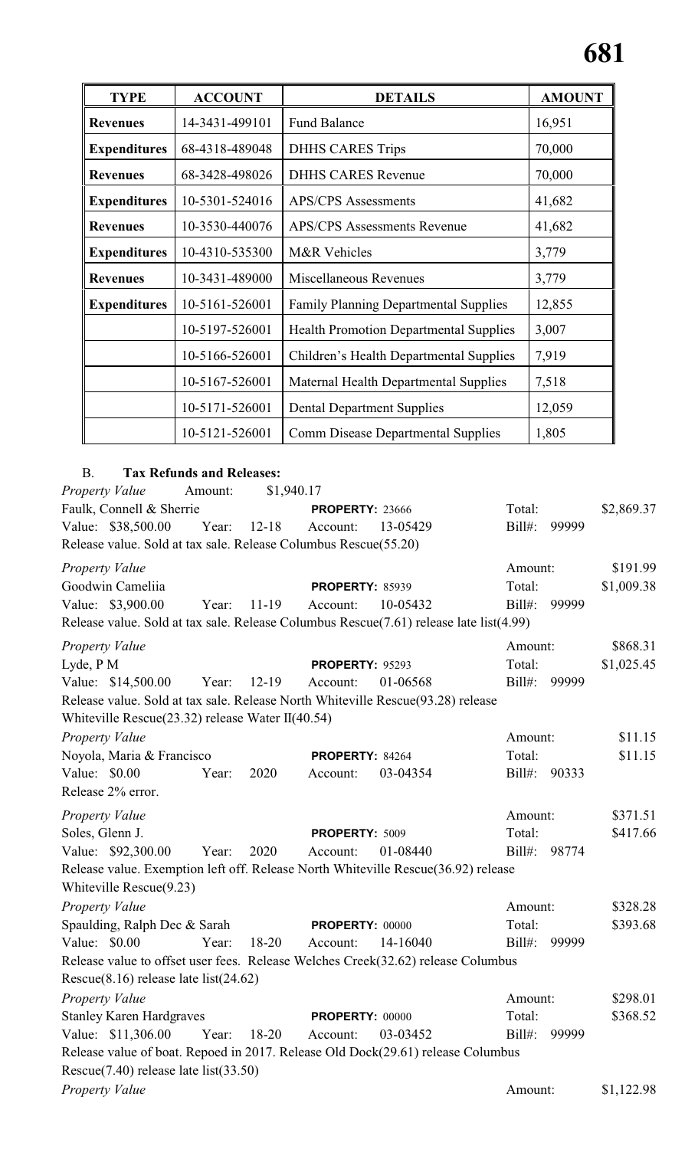| <b>TYPE</b>         | <b>ACCOUNT</b> | <b>DETAILS</b>                                | <b>AMOUNT</b> |
|---------------------|----------------|-----------------------------------------------|---------------|
| <b>Revenues</b>     | 14-3431-499101 | <b>Fund Balance</b>                           | 16,951        |
| <b>Expenditures</b> | 68-4318-489048 | <b>DHHS CARES Trips</b>                       | 70,000        |
| <b>Revenues</b>     | 68-3428-498026 | <b>DHHS CARES Revenue</b>                     | 70,000        |
| <b>Expenditures</b> | 10-5301-524016 | <b>APS/CPS</b> Assessments                    | 41,682        |
| <b>Revenues</b>     | 10-3530-440076 | <b>APS/CPS Assessments Revenue</b>            | 41,682        |
| <b>Expenditures</b> | 10-4310-535300 | M&R Vehicles                                  | 3,779         |
| <b>Revenues</b>     | 10-3431-489000 | Miscellaneous Revenues                        | 3,779         |
| <b>Expenditures</b> | 10-5161-526001 | <b>Family Planning Departmental Supplies</b>  | 12,855        |
|                     | 10-5197-526001 | <b>Health Promotion Departmental Supplies</b> | 3,007         |
|                     | 10-5166-526001 | Children's Health Departmental Supplies       | 7,919         |
|                     | 10-5167-526001 | Maternal Health Departmental Supplies         | 7,518         |
|                     | 10-5171-526001 | <b>Dental Department Supplies</b>             | 12,059        |
|                     | 10-5121-526001 | <b>Comm Disease Departmental Supplies</b>     | 1,805         |

## B. **Tax Refunds and Releases:**

| Property Value                                                                         | Amount: | \$1,940.17 |                        |          |           |       |            |
|----------------------------------------------------------------------------------------|---------|------------|------------------------|----------|-----------|-------|------------|
| Faulk, Connell & Sherrie                                                               |         |            | <b>PROPERTY: 23666</b> |          | Total:    |       | \$2,869.37 |
| Value: \$38,500.00                                                                     | Year:   | $12 - 18$  | Account:               | 13-05429 | $Bill#$ : | 99999 |            |
| Release value. Sold at tax sale. Release Columbus Rescue(55.20)                        |         |            |                        |          |           |       |            |
| <b>Property Value</b>                                                                  |         |            |                        |          | Amount:   |       | \$191.99   |
| Goodwin Cameliia                                                                       |         |            | <b>PROPERTY: 85939</b> |          | Total:    |       | \$1,009.38 |
| Value: \$3,900.00                                                                      | Year:   | $11-19$    | Account:               | 10-05432 | $Bill#$ : | 99999 |            |
| Release value. Sold at tax sale. Release Columbus Rescue(7.61) release late list(4.99) |         |            |                        |          |           |       |            |
| <b>Property Value</b>                                                                  |         |            |                        |          | Amount:   |       | \$868.31   |
| Lyde, P M                                                                              |         |            | PROPERTY: 95293        |          | Total:    |       | \$1,025.45 |
| Value: \$14,500.00                                                                     | Year:   | $12 - 19$  | Account:               | 01-06568 | $Bill#$ : | 99999 |            |
| Release value. Sold at tax sale. Release North Whiteville Rescue(93.28) release        |         |            |                        |          |           |       |            |
| Whiteville Rescue(23.32) release Water II(40.54)                                       |         |            |                        |          |           |       |            |
| <b>Property Value</b>                                                                  |         |            |                        |          | Amount:   |       | \$11.15    |
| Noyola, Maria & Francisco                                                              |         |            | PROPERTY: 84264        |          | Total:    |       | \$11.15    |
| Value: \$0.00                                                                          | Year:   | 2020       | Account:               | 03-04354 | $Bill#$ : | 90333 |            |
| Release 2% error.                                                                      |         |            |                        |          |           |       |            |
| <b>Property Value</b>                                                                  |         |            |                        |          | Amount:   |       | \$371.51   |
| Soles, Glenn J.                                                                        |         |            | PROPERTY: 5009         |          | Total:    |       | \$417.66   |
| Value: \$92,300.00                                                                     | Year:   | 2020       | Account:               | 01-08440 | $Bill#$ : | 98774 |            |
| Release value. Exemption left off. Release North Whiteville Rescue(36.92) release      |         |            |                        |          |           |       |            |
| Whiteville $Resource(9.23)$                                                            |         |            |                        |          |           |       |            |
| Property Value                                                                         |         |            |                        |          | Amount:   |       | \$328.28   |
| Spaulding, Ralph Dec & Sarah                                                           |         |            | <b>PROPERTY: 00000</b> |          | Total:    |       | \$393.68   |
| Value: \$0.00                                                                          | Year:   | $18-20$    | Account:               | 14-16040 | $Bill#$ : | 99999 |            |
| Release value to offset user fees. Release Welches Creek(32.62) release Columbus       |         |            |                        |          |           |       |            |
| Rescue $(8.16)$ release late list $(24.62)$                                            |         |            |                        |          |           |       |            |
| Property Value                                                                         |         |            |                        |          | Amount:   |       | \$298.01   |
| <b>Stanley Karen Hardgraves</b>                                                        |         |            | <b>PROPERTY: 00000</b> |          | Total:    |       | \$368.52   |
| Value: \$11,306.00                                                                     | Year:   | 18-20      | Account:               | 03-03452 | $Bill#$ : | 99999 |            |
| Release value of boat. Repoed in 2017. Release Old Dock(29.61) release Columbus        |         |            |                        |          |           |       |            |
| Rescue(7.40) release late list(33.50)                                                  |         |            |                        |          |           |       |            |
| Property Value                                                                         |         |            |                        |          | Amount:   |       | \$1,122.98 |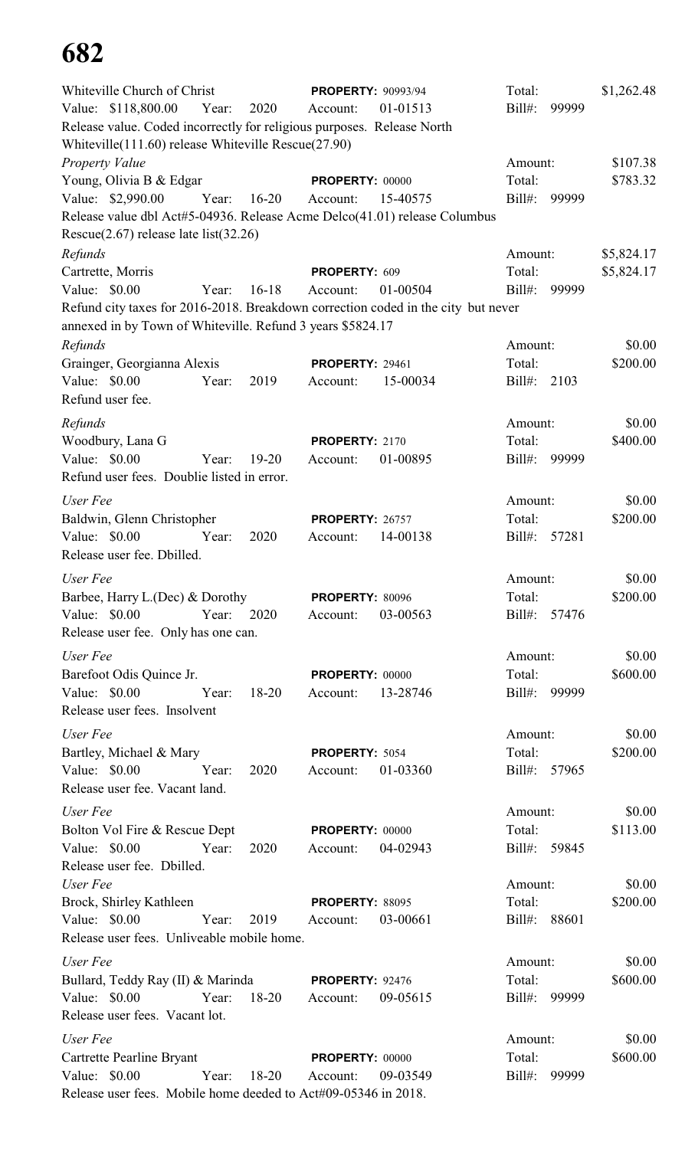| Whiteville Church of Christ                                                                                                     |       |            | <b>PROPERTY: 90993/94</b> |          | Total:            |       | \$1,262.48 |
|---------------------------------------------------------------------------------------------------------------------------------|-------|------------|---------------------------|----------|-------------------|-------|------------|
| Value: \$118,800.00                                                                                                             | Year: | 2020       | Account:                  | 01-01513 | $Bill#$ :         | 99999 |            |
| Release value. Coded incorrectly for religious purposes. Release North<br>Whiteville (111.60) release Whiteville Rescue (27.90) |       |            |                           |          |                   |       |            |
| Property Value                                                                                                                  |       |            |                           |          | Amount:           |       | \$107.38   |
| Young, Olivia B & Edgar                                                                                                         |       |            | PROPERTY: 00000           |          | Total:            |       | \$783.32   |
| Value: \$2,990.00                                                                                                               | Year: | $16 - 20$  | Account:                  | 15-40575 | $Bill#$ :         | 99999 |            |
| Release value dbl Act#5-04936. Release Acme Delco(41.01) release Columbus                                                       |       |            |                           |          |                   |       |            |
| Rescue $(2.67)$ release late list $(32.26)$                                                                                     |       |            |                           |          |                   |       |            |
| Refunds                                                                                                                         |       |            |                           |          | Amount:           |       | \$5,824.17 |
| Cartrette, Morris                                                                                                               |       |            | PROPERTY: 609             |          | Total:            |       | \$5,824.17 |
| Value: \$0.00                                                                                                                   | Year: | $16-18$    | Account:                  | 01-00504 | $Bill#$ :         | 99999 |            |
| Refund city taxes for 2016-2018. Breakdown correction coded in the city but never                                               |       |            |                           |          |                   |       |            |
| annexed in by Town of Whiteville. Refund 3 years \$5824.17                                                                      |       |            |                           |          |                   |       |            |
| Refunds                                                                                                                         |       |            |                           |          | Amount:           |       | \$0.00     |
| Grainger, Georgianna Alexis                                                                                                     |       |            | <b>PROPERTY: 29461</b>    |          | Total:            |       | \$200.00   |
| Value: \$0.00                                                                                                                   | Year: | 2019       | Account:                  | 15-00034 | $Bill#$ :         | 2103  |            |
| Refund user fee.                                                                                                                |       |            |                           |          |                   |       |            |
|                                                                                                                                 |       |            |                           |          |                   |       |            |
| Refunds                                                                                                                         |       |            |                           |          | Amount:           |       | \$0.00     |
| Woodbury, Lana G                                                                                                                |       |            | PROPERTY: 2170            |          | Total:            |       | \$400.00   |
| Value: \$0.00                                                                                                                   | Year: | $19 - 20$  | Account:                  | 01-00895 | $Bill#$ :         | 99999 |            |
| Refund user fees. Doublie listed in error.                                                                                      |       |            |                           |          |                   |       |            |
| User Fee                                                                                                                        |       |            |                           |          | Amount:           |       | \$0.00     |
| Baldwin, Glenn Christopher                                                                                                      |       |            | <b>PROPERTY: 26757</b>    |          | Total:            |       | \$200.00   |
| Value: \$0.00                                                                                                                   | Year: | 2020       | Account:                  | 14-00138 | $Bill#$ :         | 57281 |            |
| Release user fee. Dbilled.                                                                                                      |       |            |                           |          |                   |       |            |
| User Fee                                                                                                                        |       |            |                           |          | Amount:           |       | \$0.00     |
| Barbee, Harry L.(Dec) & Dorothy                                                                                                 |       |            | <b>PROPERTY: 80096</b>    |          | Total:            |       | \$200.00   |
| Value: \$0.00                                                                                                                   |       | Year: 2020 | Account:                  | 03-00563 | Bill#: 57476      |       |            |
| Release user fee. Only has one can.                                                                                             |       |            |                           |          |                   |       |            |
|                                                                                                                                 |       |            |                           |          |                   |       |            |
| User Fee                                                                                                                        |       |            |                           |          | Amount:           |       | \$0.00     |
| Barefoot Odis Quince Jr.                                                                                                        |       |            | <b>PROPERTY: 00000</b>    |          | Total:            |       | \$600.00   |
| Value: $$0.00$<br>Year:                                                                                                         |       | 18-20      | Account:                  | 13-28746 | Bill#: 99999      |       |            |
| Release user fees. Insolvent                                                                                                    |       |            |                           |          |                   |       |            |
| User Fee                                                                                                                        |       |            |                           |          | Amount:           |       | \$0.00     |
| Bartley, Michael & Mary                                                                                                         |       |            | PROPERTY: 5054            |          | Total:            |       | \$200.00   |
| Value: \$0.00                                                                                                                   | Year: | 2020       | Account:                  | 01-03360 | Bill#: 57965      |       |            |
| Release user fee. Vacant land.                                                                                                  |       |            |                           |          |                   |       |            |
| User Fee                                                                                                                        |       |            |                           |          | Amount:           |       | \$0.00     |
| Bolton Vol Fire & Rescue Dept                                                                                                   |       |            | <b>PROPERTY: 00000</b>    |          | Total:            |       | \$113.00   |
| Value: $$0.00$                                                                                                                  | Year: | 2020       | Account:                  | 04-02943 | Bill#: 59845      |       |            |
| Release user fee. Dbilled.                                                                                                      |       |            |                           |          |                   |       |            |
| User Fee                                                                                                                        |       |            |                           |          | Amount:           |       | \$0.00     |
| Brock, Shirley Kathleen                                                                                                         |       |            | <b>PROPERTY: 88095</b>    |          | Total:            |       | \$200.00   |
| Value: \$0.00                                                                                                                   | Year: | 2019       | Account:                  | 03-00661 | Bill#:            | 88601 |            |
| Release user fees. Unliveable mobile home.                                                                                      |       |            |                           |          |                   |       |            |
|                                                                                                                                 |       |            |                           |          |                   |       |            |
| User Fee                                                                                                                        |       |            |                           |          | Amount:           |       | \$0.00     |
| Bullard, Teddy Ray (II) & Marinda                                                                                               |       |            | <b>PROPERTY: 92476</b>    |          | Total:            |       | \$600.00   |
| Value: \$0.00<br>Year:                                                                                                          |       | 18-20      | Account:                  | 09-05615 | $\text{Bill}\#$ : | 99999 |            |
| Release user fees. Vacant lot.                                                                                                  |       |            |                           |          |                   |       |            |
| User Fee                                                                                                                        |       |            |                           |          | Amount:           |       | \$0.00     |
| Cartrette Pearline Bryant                                                                                                       |       |            | <b>PROPERTY: 00000</b>    |          | Total:            |       | \$600.00   |
| Value: $$0.00$                                                                                                                  | Year: | 18-20      | Account:                  | 09-03549 | $Bill#$ :         | 99999 |            |
| Release user fees. Mobile home deeded to Act#09-05346 in 2018.                                                                  |       |            |                           |          |                   |       |            |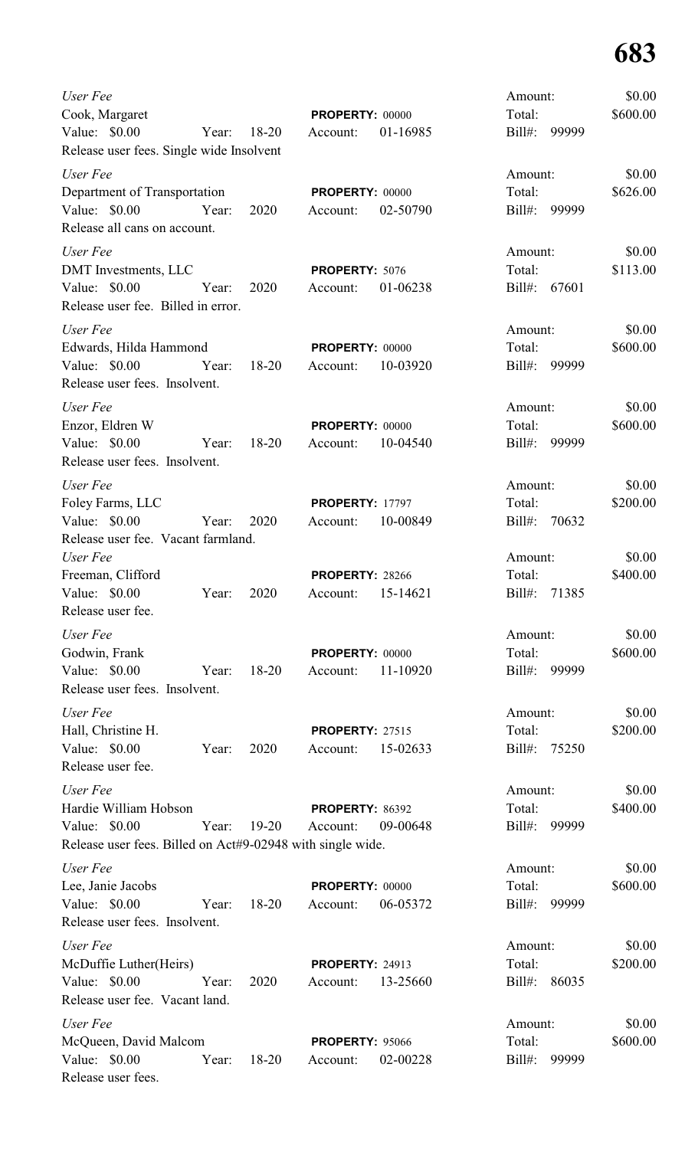| User Fee<br>Cook, Margaret<br>Value: $$0.00$<br>Release user fees. Single wide Insolvent                          | Year: | $18 - 20$ | <b>PROPERTY: 00000</b><br>Account:          | 01-16985 | Amount:<br>Total:<br>$Bill#$ :    | 99999 | \$0.00<br>\$600.00 |
|-------------------------------------------------------------------------------------------------------------------|-------|-----------|---------------------------------------------|----------|-----------------------------------|-------|--------------------|
| User Fee<br>Department of Transportation<br>Value: $$0.00$<br>Release all cans on account.                        | Year: | 2020      | PROPERTY: 00000<br>Account:                 | 02-50790 | Amount:<br>Total:<br>Bill#:       | 99999 | \$0.00<br>\$626.00 |
| User Fee<br>DMT Investments, LLC<br>Value: \$0.00<br>Release user fee. Billed in error.                           | Year: | 2020      | PROPERTY: 5076<br>Account:                  | 01-06238 | Amount:<br>Total:<br>Bill#:       | 67601 | \$0.00<br>\$113.00 |
| User Fee<br>Edwards, Hilda Hammond<br>Value: $$0.00$<br>Release user fees. Insolvent.                             | Year: | $18 - 20$ | <b>PROPERTY: 00000</b><br>Account:          | 10-03920 | Amount:<br>Total:<br>Bill#:       | 99999 | \$0.00<br>\$600.00 |
| User Fee<br>Enzor, Eldren W<br>Value: \$0.00<br>Release user fees. Insolvent.                                     | Year: | $18 - 20$ | <b>PROPERTY: 00000</b><br>Account:          | 10-04540 | Amount:<br>Total:<br>Bill#:       | 99999 | \$0.00<br>\$600.00 |
| User Fee<br>Foley Farms, LLC<br>Value: \$0.00<br>Release user fee. Vacant farmland.                               | Year: | 2020      | <b>PROPERTY: 17797</b><br>Account:          | 10-00849 | Amount:<br>Total:<br>$Bill#$ :    | 70632 | \$0.00<br>\$200.00 |
| User Fee<br>Freeman, Clifford<br>Value: $$0.00$<br>Release user fee.                                              | Year: | 2020      | <b>PROPERTY: 28266</b><br>Account: 15-14621 |          | Amount:<br>Total:<br>Bill#: 71385 |       | \$0.00<br>\$400.00 |
| User Fee<br>Godwin, Frank<br>Value: $$0.00$<br>Release user fees. Insolvent.                                      | Year: | $18-20$   | PROPERTY: 00000<br>Account:                 | 11-10920 | Amount:<br>Total:<br>Bill#:       | 99999 | \$0.00<br>\$600.00 |
| User Fee<br>Hall, Christine H.<br>Value: $$0.00$<br>Release user fee.                                             | Year: | 2020      | <b>PROPERTY: 27515</b><br>Account:          | 15-02633 | Amount:<br>Total:<br>$Bill#$ :    | 75250 | \$0.00<br>\$200.00 |
| User Fee<br>Hardie William Hobson<br>Value: $$0.00$<br>Release user fees. Billed on Act#9-02948 with single wide. | Year: | $19 - 20$ | PROPERTY: 86392<br>Account:                 | 09-00648 | Amount:<br>Total:<br>Bill#:       | 99999 | \$0.00<br>\$400.00 |
| User Fee<br>Lee, Janie Jacobs<br>Value: $$0.00$<br>Release user fees. Insolvent.                                  | Year: | $18 - 20$ | <b>PROPERTY: 00000</b><br>Account:          | 06-05372 | Amount:<br>Total:<br>$Bill#$ :    | 99999 | \$0.00<br>\$600.00 |
| User Fee<br>McDuffie Luther(Heirs)<br>Value: \$0.00<br>Release user fee. Vacant land.                             | Year: | 2020      | <b>PROPERTY: 24913</b><br>Account:          | 13-25660 | Amount:<br>Total:<br>$Bill#$ :    | 86035 | \$0.00<br>\$200.00 |
| User Fee<br>McQueen, David Malcom<br>Value: $$0.00$<br>Release user fees.                                         | Year: | $18 - 20$ | <b>PROPERTY: 95066</b><br>Account:          | 02-00228 | Amount:<br>Total:<br>$Bill#$ :    | 99999 | \$0.00<br>\$600.00 |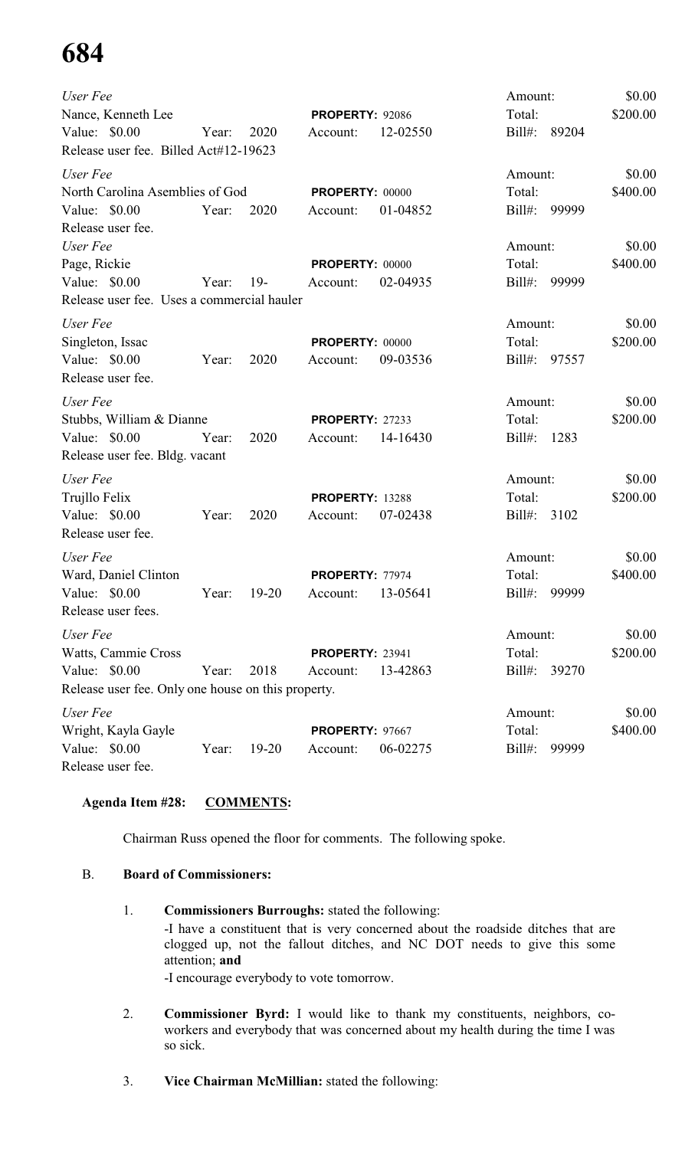| User Fee                                           |       |           |                        |          | Amount:   |       | \$0.00   |
|----------------------------------------------------|-------|-----------|------------------------|----------|-----------|-------|----------|
| Nance, Kenneth Lee                                 |       |           | PROPERTY: 92086        |          | Total:    |       | \$200.00 |
| Value: $$0.00$                                     | Year: | 2020      | Account:               | 12-02550 | $Bill#$ : | 89204 |          |
| Release user fee. Billed Act#12-19623              |       |           |                        |          |           |       |          |
| User Fee                                           |       |           |                        |          | Amount:   |       | \$0.00   |
| North Carolina Asemblies of God                    |       |           | PROPERTY: 00000        |          | Total:    |       | \$400.00 |
| Value: \$0.00                                      | Year: | 2020      | Account:               | 01-04852 | $Bill#$ : | 99999 |          |
| Release user fee.                                  |       |           |                        |          |           |       |          |
| User Fee                                           |       |           |                        |          | Amount:   |       | \$0.00   |
| Page, Rickie                                       |       |           | PROPERTY: 00000        |          | Total:    |       | \$400.00 |
| Value: $$0.00$                                     | Year: | $19-$     | Account:               | 02-04935 | $Bill#$ : | 99999 |          |
| Release user fee. Uses a commercial hauler         |       |           |                        |          |           |       |          |
| User Fee                                           |       |           |                        |          | Amount:   |       | \$0.00   |
| Singleton, Issac                                   |       |           | PROPERTY: 00000        |          | Total:    |       | \$200.00 |
| Value: \$0.00                                      | Year: | 2020      | Account:               | 09-03536 | $Bill#$ : | 97557 |          |
| Release user fee.                                  |       |           |                        |          |           |       |          |
| User Fee                                           |       |           |                        |          | Amount:   |       | \$0.00   |
| Stubbs, William & Dianne                           |       |           | <b>PROPERTY: 27233</b> |          | Total:    |       | \$200.00 |
| Value: \$0.00                                      | Year: | 2020      | Account:               | 14-16430 | $Bill#$ : | 1283  |          |
| Release user fee. Bldg. vacant                     |       |           |                        |          |           |       |          |
| User Fee                                           |       |           |                        |          | Amount:   |       | \$0.00   |
| Trujllo Felix                                      |       |           | PROPERTY: 13288        |          | Total:    |       | \$200.00 |
| Value: \$0.00                                      | Year: | 2020      | Account:               | 07-02438 | Bill#:    | 3102  |          |
| Release user fee.                                  |       |           |                        |          |           |       |          |
| User Fee                                           |       |           |                        |          | Amount:   |       | \$0.00   |
| Ward, Daniel Clinton                               |       |           | PROPERTY: 77974        |          | Total:    |       | \$400.00 |
| Value: \$0.00                                      | Year: | $19-20$   | Account:               | 13-05641 | $Bill#$ : | 99999 |          |
| Release user fees.                                 |       |           |                        |          |           |       |          |
| User Fee                                           |       |           |                        |          | Amount:   |       | \$0.00   |
| Watts, Cammie Cross                                |       |           | <b>PROPERTY: 23941</b> |          | Total:    |       | \$200.00 |
| Value: \$0.00                                      | Year: | 2018      | Account:               | 13-42863 | $Bill#$ : | 39270 |          |
| Release user fee. Only one house on this property. |       |           |                        |          |           |       |          |
| User Fee                                           |       |           |                        |          | Amount:   |       | \$0.00   |
| Wright, Kayla Gayle                                |       |           | PROPERTY: 97667        |          | Total:    |       | \$400.00 |
| Value: \$0.00                                      | Year: | $19 - 20$ | Account:               | 06-02275 | $Bill#$ : | 99999 |          |
| Release user fee.                                  |       |           |                        |          |           |       |          |

### **Agenda Item #28: COMMENTS:**

Chairman Russ opened the floor for comments. The following spoke.

### B. **Board of Commissioners:**

- 1. **Commissioners Burroughs:** stated the following: -I have a constituent that is very concerned about the roadside ditches that are clogged up, not the fallout ditches, and NC DOT needs to give this some attention; **and** -I encourage everybody to vote tomorrow.
- 2. **Commissioner Byrd:** I would like to thank my constituents, neighbors, coworkers and everybody that was concerned about my health during the time I was so sick.
- 3. **Vice Chairman McMillian:** stated the following: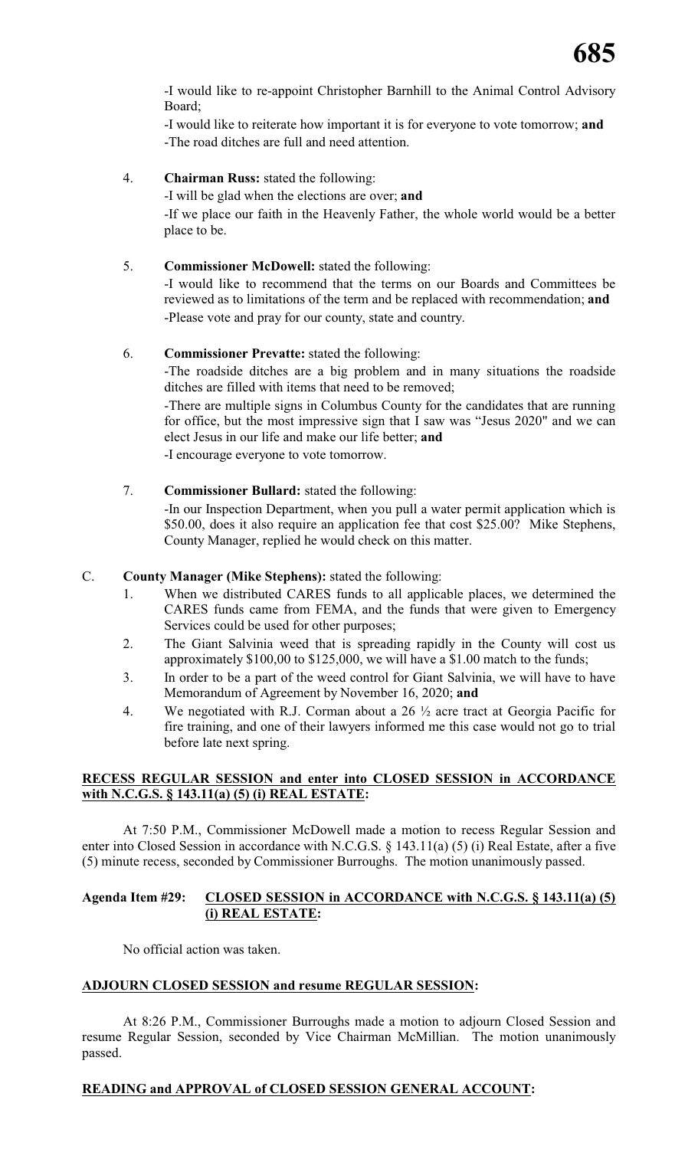-I would like to re-appoint Christopher Barnhill to the Animal Control Advisory Board;

-I would like to reiterate how important it is for everyone to vote tomorrow; **and** -The road ditches are full and need attention.

4. **Chairman Russ:** stated the following:

-I will be glad when the elections are over; **and** -If we place our faith in the Heavenly Father, the whole world would be a better place to be.

### 5. **Commissioner McDowell:** stated the following:

-I would like to recommend that the terms on our Boards and Committees be reviewed as to limitations of the term and be replaced with recommendation; **and** -Please vote and pray for our county, state and country.

### 6. **Commissioner Prevatte:** stated the following:

-The roadside ditches are a big problem and in many situations the roadside ditches are filled with items that need to be removed;

-There are multiple signs in Columbus County for the candidates that are running for office, but the most impressive sign that I saw was "Jesus 2020" and we can elect Jesus in our life and make our life better; **and**

-I encourage everyone to vote tomorrow.

### 7. **Commissioner Bullard:** stated the following:

-In our Inspection Department, when you pull a water permit application which is \$50.00, does it also require an application fee that cost \$25.00? Mike Stephens, County Manager, replied he would check on this matter.

### C. **County Manager (Mike Stephens):** stated the following:

- 1. When we distributed CARES funds to all applicable places, we determined the CARES funds came from FEMA, and the funds that were given to Emergency Services could be used for other purposes;
- 2. The Giant Salvinia weed that is spreading rapidly in the County will cost us approximately \$100,00 to \$125,000, we will have a \$1.00 match to the funds;
- 3. In order to be a part of the weed control for Giant Salvinia, we will have to have Memorandum of Agreement by November 16, 2020; **and**
- 4. We negotiated with R.J. Corman about a 26 ½ acre tract at Georgia Pacific for fire training, and one of their lawyers informed me this case would not go to trial before late next spring.

### **RECESS REGULAR SESSION and enter into CLOSED SESSION in ACCORDANCE with N.C.G.S. § 143.11(a) (5) (i) REAL ESTATE:**

At 7:50 P.M., Commissioner McDowell made a motion to recess Regular Session and enter into Closed Session in accordance with N.C.G.S. § 143.11(a) (5) (i) Real Estate, after a five (5) minute recess, seconded by Commissioner Burroughs. The motion unanimously passed.

### **Agenda Item #29: CLOSED SESSION in ACCORDANCE with N.C.G.S. § 143.11(a) (5) (i) REAL ESTATE:**

No official action was taken.

### **ADJOURN CLOSED SESSION and resume REGULAR SESSION:**

At 8:26 P.M., Commissioner Burroughs made a motion to adjourn Closed Session and resume Regular Session, seconded by Vice Chairman McMillian. The motion unanimously passed.

### **READING and APPROVAL of CLOSED SESSION GENERAL ACCOUNT:**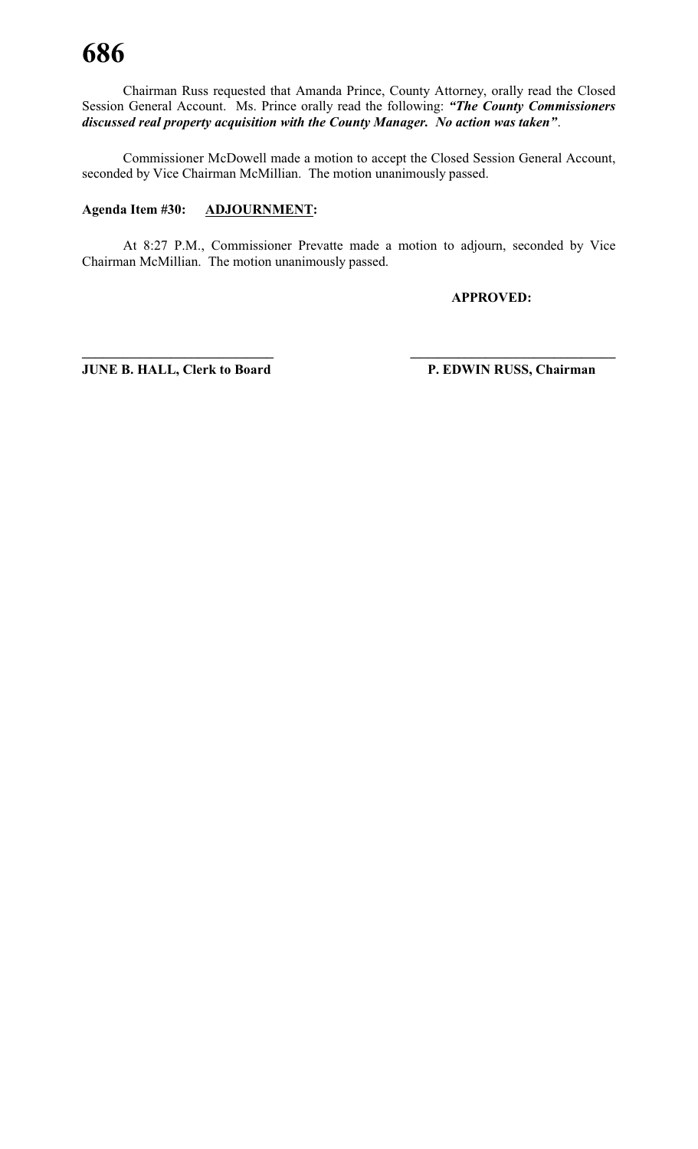Chairman Russ requested that Amanda Prince, County Attorney, orally read the Closed Session General Account. Ms. Prince orally read the following: *"The County Commissioners discussed real property acquisition with the County Manager. No action was taken"*.

Commissioner McDowell made a motion to accept the Closed Session General Account, seconded by Vice Chairman McMillian. The motion unanimously passed.

### **Agenda Item #30: ADJOURNMENT:**

At 8:27 P.M., Commissioner Prevatte made a motion to adjourn, seconded by Vice Chairman McMillian. The motion unanimously passed.

**\_\_\_\_\_\_\_\_\_\_\_\_\_\_\_\_\_\_\_\_\_\_\_\_\_\_\_\_ \_\_\_\_\_\_\_\_\_\_\_\_\_\_\_\_\_\_\_\_\_\_\_\_\_\_\_\_\_\_**

**APPROVED:**

**JUNE B. HALL, Clerk to Board P. EDWIN RUSS, Chairman**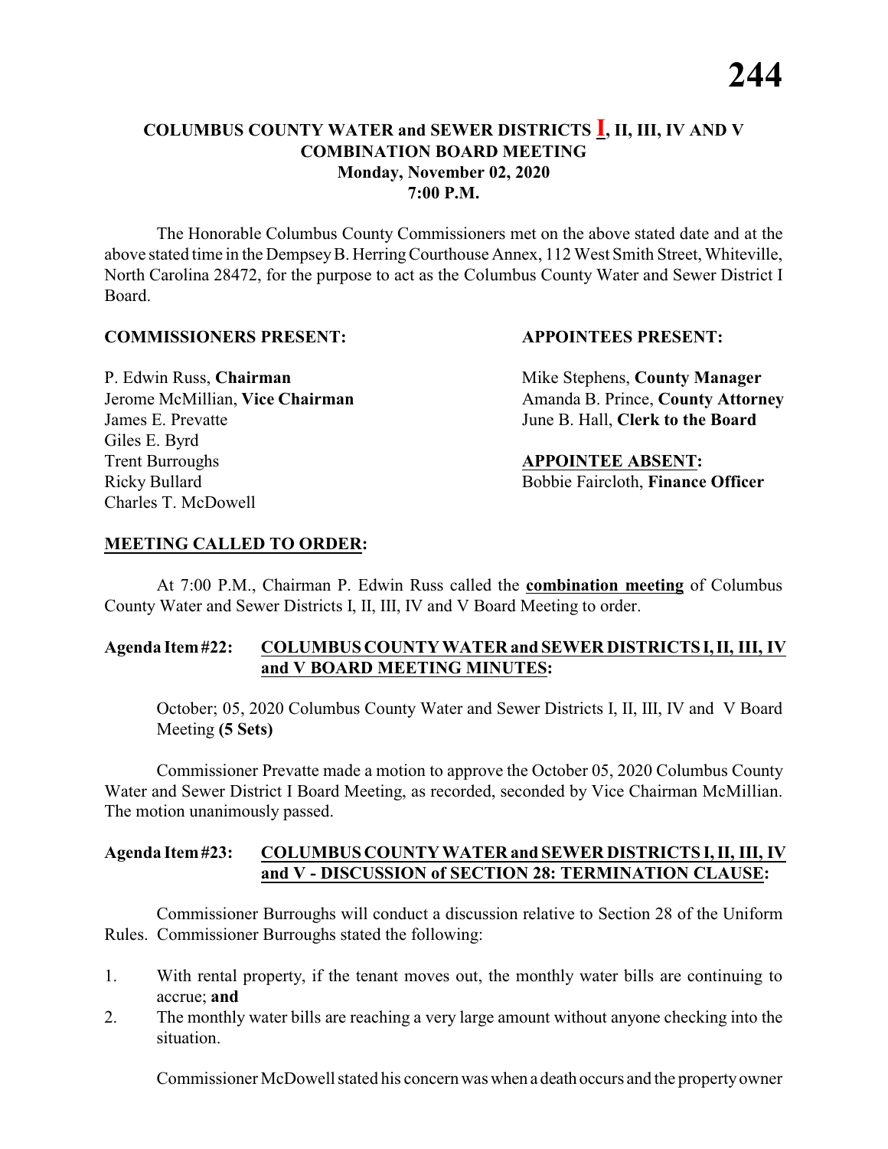### **COLUMBUS COUNTY WATER and SEWER DISTRICTS I, II, III, IV AND V COMBINATION BOARD MEETING Monday, November 02, 2020 7:00 P.M.**

The Honorable Columbus County Commissioners met on the above stated date and at the above stated time in the DempseyB. HerringCourthouse Annex, 112 West Smith Street, Whiteville, North Carolina 28472, for the purpose to act as the Columbus County Water and Sewer District I Board.

### **COMMISSIONERS PRESENT: APPOINTEES PRESENT:**

James E. Prevatte June B. Hall, **Clerk to the Board** Giles E. Byrd **Trent Burroughs APPOINTEE ABSENT:** Ricky Bullard **Bobbie Faircloth, Finance Officer** Charles T. McDowell

P. Edwin Russ, **Chairman** Mike Stephens, **County Manager** Jerome McMillian, Vice Chairman Amanda B. Prince, County Attorney

### **MEETING CALLED TO ORDER:**

At 7:00 P.M., Chairman P. Edwin Russ called the **combination meeting** of Columbus County Water and Sewer Districts I, II, III, IV and V Board Meeting to order.

### **Agenda Item#22: COLUMBUS COUNTY WATER and SEWER DISTRICTS I,II, III, IV and V BOARD MEETING MINUTES:**

October; 05, 2020 Columbus County Water and Sewer Districts I, II, III, IV and V Board Meeting **(5 Sets)**

Commissioner Prevatte made a motion to approve the October 05, 2020 Columbus County Water and Sewer District I Board Meeting, as recorded, seconded by Vice Chairman McMillian. The motion unanimously passed.

### **Agenda Item#23: COLUMBUS COUNTY WATER and SEWER DISTRICTS I, II, III, IV and V - DISCUSSION of SECTION 28: TERMINATION CLAUSE:**

Commissioner Burroughs will conduct a discussion relative to Section 28 of the Uniform Rules. Commissioner Burroughs stated the following:

- 1. With rental property, if the tenant moves out, the monthly water bills are continuing to accrue; **and**
- 2. The monthly water bills are reaching a very large amount without anyone checking into the situation.

Commissioner McDowell stated his concern was when a death occurs and the propertyowner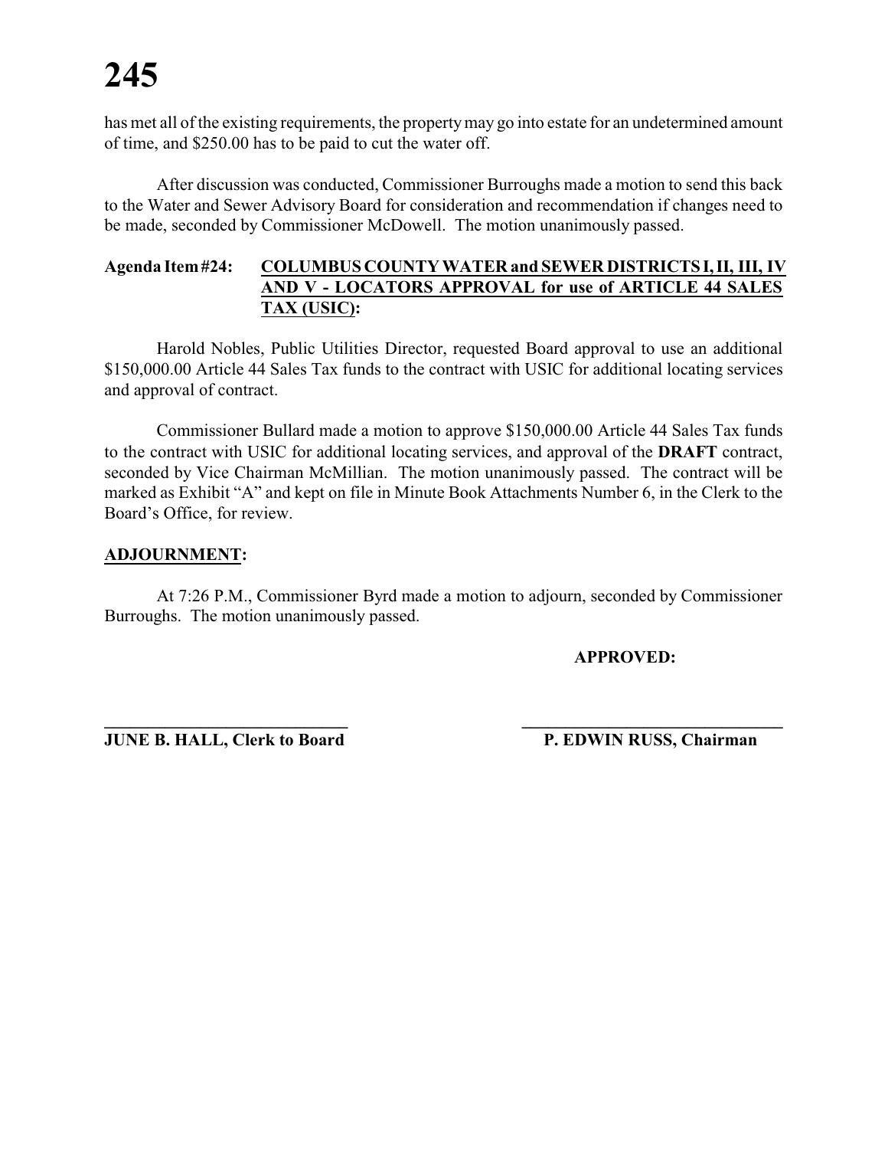has met all of the existing requirements, the propertymay go into estate for an undetermined amount of time, and \$250.00 has to be paid to cut the water off.

After discussion was conducted, Commissioner Burroughs made a motion to send this back to the Water and Sewer Advisory Board for consideration and recommendation if changes need to be made, seconded by Commissioner McDowell. The motion unanimously passed.

### **Agenda Item#24: COLUMBUS COUNTY WATER and SEWER DISTRICTS I,II, III, IV AND V - LOCATORS APPROVAL for use of ARTICLE 44 SALES TAX (USIC):**

Harold Nobles, Public Utilities Director, requested Board approval to use an additional \$150,000.00 Article 44 Sales Tax funds to the contract with USIC for additional locating services and approval of contract.

Commissioner Bullard made a motion to approve \$150,000.00 Article 44 Sales Tax funds to the contract with USIC for additional locating services, and approval of the **DRAFT** contract, seconded by Vice Chairman McMillian. The motion unanimously passed. The contract will be marked as Exhibit "A" and kept on file in Minute Book Attachments Number 6, in the Clerk to the Board's Office, for review.

### **ADJOURNMENT:**

At 7:26 P.M., Commissioner Byrd made a motion to adjourn, seconded by Commissioner Burroughs. The motion unanimously passed.

**\_\_\_\_\_\_\_\_\_\_\_\_\_\_\_\_\_\_\_\_\_\_\_\_\_\_\_\_ \_\_\_\_\_\_\_\_\_\_\_\_\_\_\_\_\_\_\_\_\_\_\_\_\_\_\_\_\_\_**

**APPROVED:**

**JUNE B. HALL, Clerk to Board P. EDWIN RUSS, Chairman**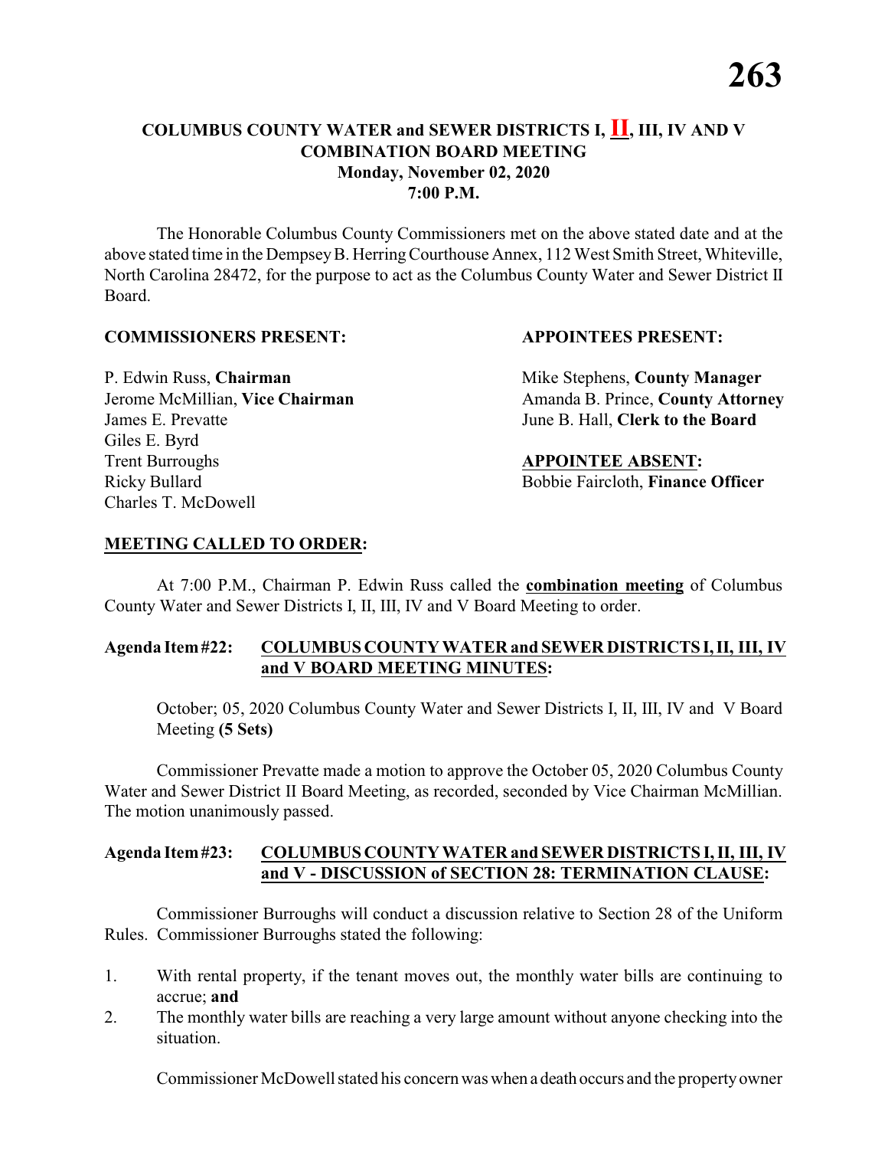### **COLUMBUS COUNTY WATER and SEWER DISTRICTS I, II, III, IV AND V COMBINATION BOARD MEETING Monday, November 02, 2020 7:00 P.M.**

The Honorable Columbus County Commissioners met on the above stated date and at the above stated time in the DempseyB. HerringCourthouse Annex, 112 West Smith Street, Whiteville, North Carolina 28472, for the purpose to act as the Columbus County Water and Sewer District II Board.

### **COMMISSIONERS PRESENT: APPOINTEES PRESENT:**

James E. Prevatte June B. Hall, **Clerk to the Board** Giles E. Byrd **Trent Burroughs APPOINTEE ABSENT:** Ricky Bullard **Bobbie Faircloth, Finance Officer** Charles T. McDowell

P. Edwin Russ, **Chairman** Mike Stephens, **County Manager** Jerome McMillian, Vice Chairman Amanda B. Prince, County Attorney

### **MEETING CALLED TO ORDER:**

At 7:00 P.M., Chairman P. Edwin Russ called the **combination meeting** of Columbus County Water and Sewer Districts I, II, III, IV and V Board Meeting to order.

### **Agenda Item#22: COLUMBUS COUNTY WATER and SEWER DISTRICTS I,II, III, IV and V BOARD MEETING MINUTES:**

October; 05, 2020 Columbus County Water and Sewer Districts I, II, III, IV and V Board Meeting **(5 Sets)**

Commissioner Prevatte made a motion to approve the October 05, 2020 Columbus County Water and Sewer District II Board Meeting, as recorded, seconded by Vice Chairman McMillian. The motion unanimously passed.

### **Agenda Item#23: COLUMBUS COUNTY WATER and SEWER DISTRICTS I, II, III, IV and V - DISCUSSION of SECTION 28: TERMINATION CLAUSE:**

Commissioner Burroughs will conduct a discussion relative to Section 28 of the Uniform Rules. Commissioner Burroughs stated the following:

- 1. With rental property, if the tenant moves out, the monthly water bills are continuing to accrue; **and**
- 2. The monthly water bills are reaching a very large amount without anyone checking into the situation.

Commissioner McDowell stated his concern was when a death occurs and the propertyowner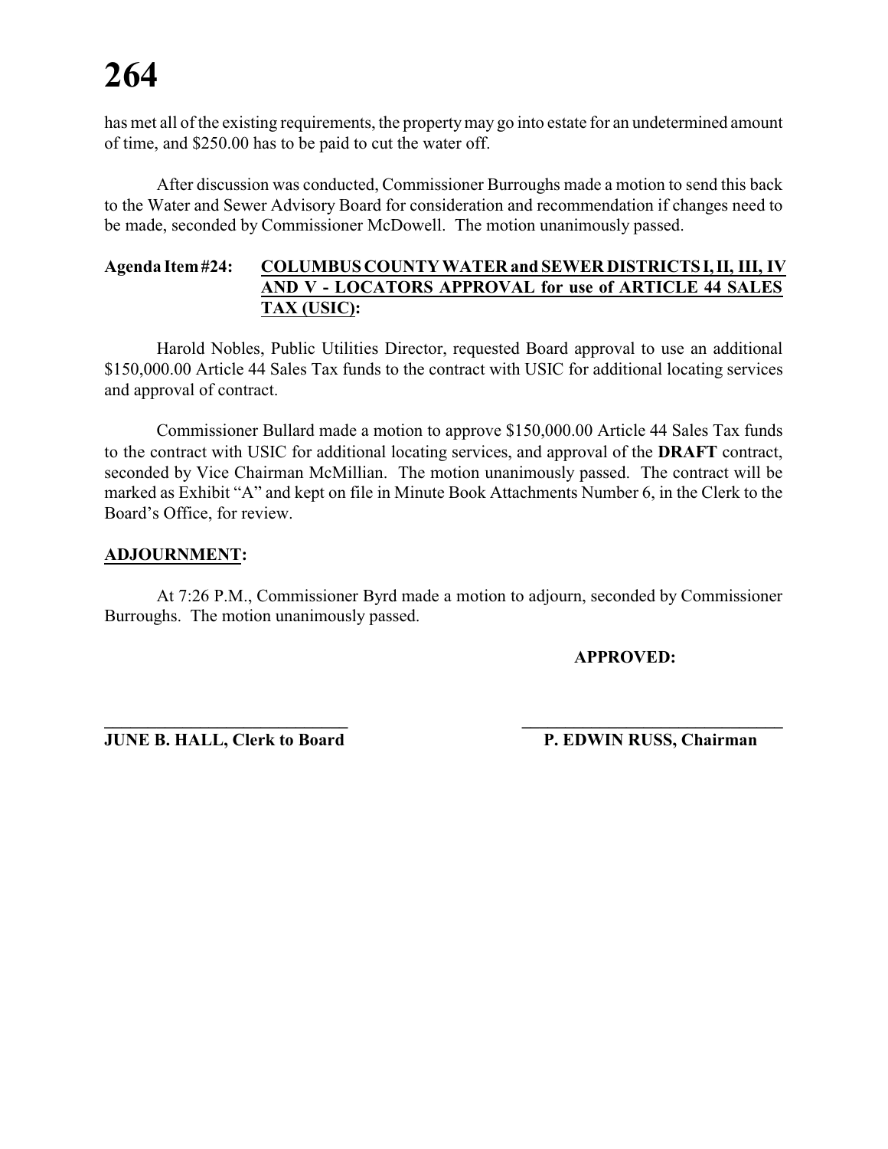has met all of the existing requirements, the propertymay go into estate for an undetermined amount of time, and \$250.00 has to be paid to cut the water off.

After discussion was conducted, Commissioner Burroughs made a motion to send this back to the Water and Sewer Advisory Board for consideration and recommendation if changes need to be made, seconded by Commissioner McDowell. The motion unanimously passed.

### **Agenda Item#24: COLUMBUS COUNTY WATER and SEWER DISTRICTS I,II, III, IV AND V - LOCATORS APPROVAL for use of ARTICLE 44 SALES TAX (USIC):**

Harold Nobles, Public Utilities Director, requested Board approval to use an additional \$150,000.00 Article 44 Sales Tax funds to the contract with USIC for additional locating services and approval of contract.

Commissioner Bullard made a motion to approve \$150,000.00 Article 44 Sales Tax funds to the contract with USIC for additional locating services, and approval of the **DRAFT** contract, seconded by Vice Chairman McMillian. The motion unanimously passed. The contract will be marked as Exhibit "A" and kept on file in Minute Book Attachments Number 6, in the Clerk to the Board's Office, for review.

### **ADJOURNMENT:**

At 7:26 P.M., Commissioner Byrd made a motion to adjourn, seconded by Commissioner Burroughs. The motion unanimously passed.

**\_\_\_\_\_\_\_\_\_\_\_\_\_\_\_\_\_\_\_\_\_\_\_\_\_\_\_\_ \_\_\_\_\_\_\_\_\_\_\_\_\_\_\_\_\_\_\_\_\_\_\_\_\_\_\_\_\_\_**

**APPROVED:**

**JUNE B. HALL, Clerk to Board P. EDWIN RUSS, Chairman**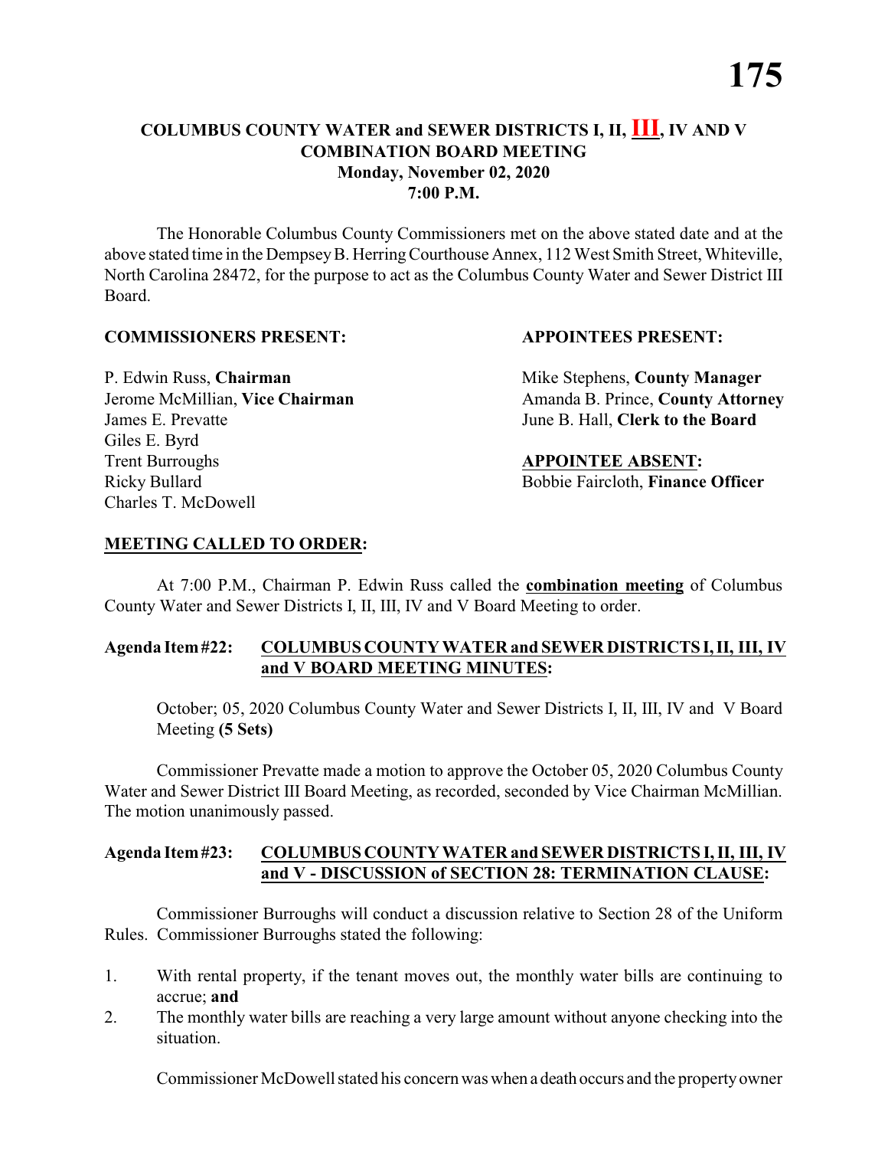### **COLUMBUS COUNTY WATER and SEWER DISTRICTS I, II, III, IV AND V COMBINATION BOARD MEETING Monday, November 02, 2020 7:00 P.M.**

The Honorable Columbus County Commissioners met on the above stated date and at the above stated time in the DempseyB. HerringCourthouse Annex, 112 West Smith Street, Whiteville, North Carolina 28472, for the purpose to act as the Columbus County Water and Sewer District III Board.

### **COMMISSIONERS PRESENT: APPOINTEES PRESENT:**

James E. Prevatte June B. Hall, **Clerk to the Board** Giles E. Byrd **Trent Burroughs APPOINTEE ABSENT:** Ricky Bullard **Bobbie Faircloth, Finance Officer** Charles T. McDowell

P. Edwin Russ, **Chairman** Mike Stephens, **County Manager** Jerome McMillian, Vice Chairman Amanda B. Prince, County Attorney

### **MEETING CALLED TO ORDER:**

At 7:00 P.M., Chairman P. Edwin Russ called the **combination meeting** of Columbus County Water and Sewer Districts I, II, III, IV and V Board Meeting to order.

### **Agenda Item#22: COLUMBUS COUNTY WATER and SEWER DISTRICTS I,II, III, IV and V BOARD MEETING MINUTES:**

October; 05, 2020 Columbus County Water and Sewer Districts I, II, III, IV and V Board Meeting **(5 Sets)**

Commissioner Prevatte made a motion to approve the October 05, 2020 Columbus County Water and Sewer District III Board Meeting, as recorded, seconded by Vice Chairman McMillian. The motion unanimously passed.

### **Agenda Item#23: COLUMBUS COUNTY WATER and SEWER DISTRICTS I, II, III, IV and V - DISCUSSION of SECTION 28: TERMINATION CLAUSE:**

Commissioner Burroughs will conduct a discussion relative to Section 28 of the Uniform Rules. Commissioner Burroughs stated the following:

- 1. With rental property, if the tenant moves out, the monthly water bills are continuing to accrue; **and**
- 2. The monthly water bills are reaching a very large amount without anyone checking into the situation.

Commissioner McDowell stated his concern was when a death occurs and the propertyowner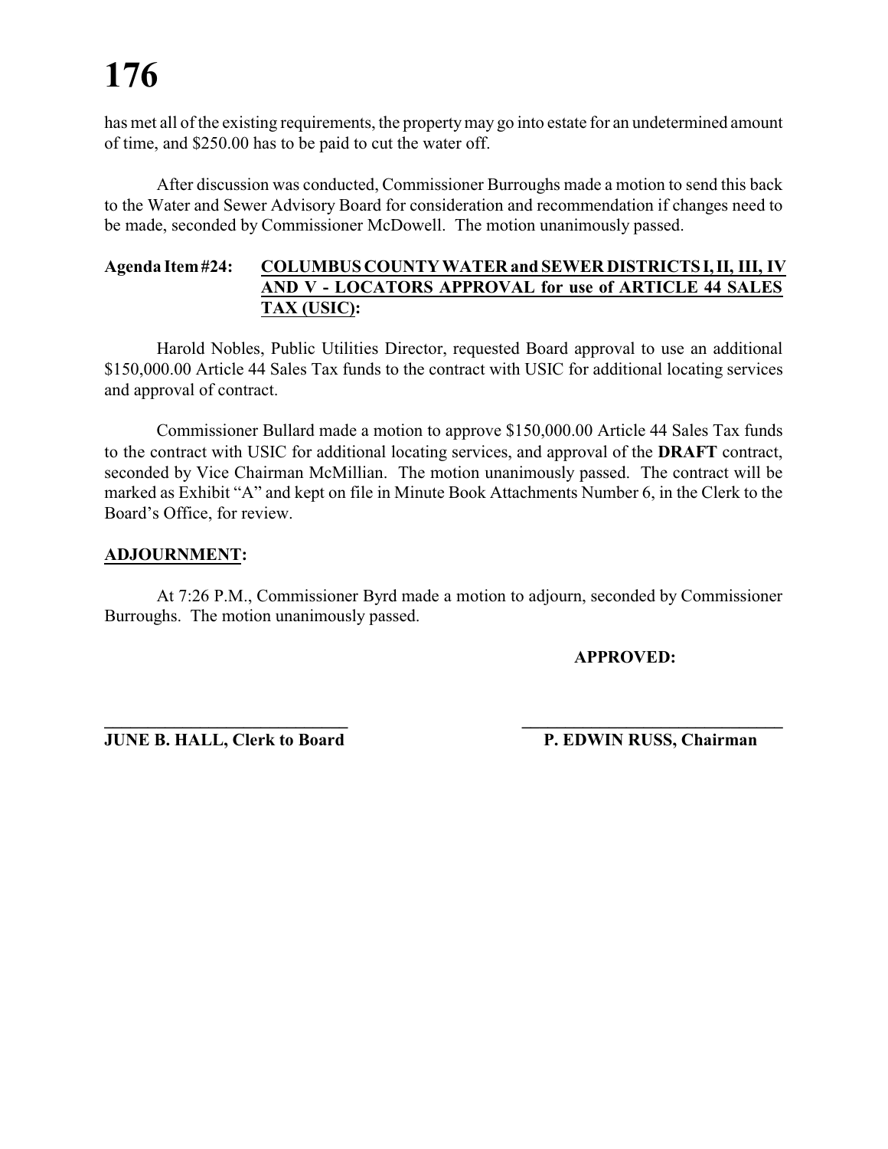has met all of the existing requirements, the propertymay go into estate for an undetermined amount of time, and \$250.00 has to be paid to cut the water off.

After discussion was conducted, Commissioner Burroughs made a motion to send this back to the Water and Sewer Advisory Board for consideration and recommendation if changes need to be made, seconded by Commissioner McDowell. The motion unanimously passed.

### **Agenda Item#24: COLUMBUS COUNTY WATER and SEWER DISTRICTS I,II, III, IV AND V - LOCATORS APPROVAL for use of ARTICLE 44 SALES TAX (USIC):**

Harold Nobles, Public Utilities Director, requested Board approval to use an additional \$150,000.00 Article 44 Sales Tax funds to the contract with USIC for additional locating services and approval of contract.

Commissioner Bullard made a motion to approve \$150,000.00 Article 44 Sales Tax funds to the contract with USIC for additional locating services, and approval of the **DRAFT** contract, seconded by Vice Chairman McMillian. The motion unanimously passed. The contract will be marked as Exhibit "A" and kept on file in Minute Book Attachments Number 6, in the Clerk to the Board's Office, for review.

### **ADJOURNMENT:**

At 7:26 P.M., Commissioner Byrd made a motion to adjourn, seconded by Commissioner Burroughs. The motion unanimously passed.

**\_\_\_\_\_\_\_\_\_\_\_\_\_\_\_\_\_\_\_\_\_\_\_\_\_\_\_\_ \_\_\_\_\_\_\_\_\_\_\_\_\_\_\_\_\_\_\_\_\_\_\_\_\_\_\_\_\_\_**

**APPROVED:**

**JUNE B. HALL, Clerk to Board P. EDWIN RUSS, Chairman**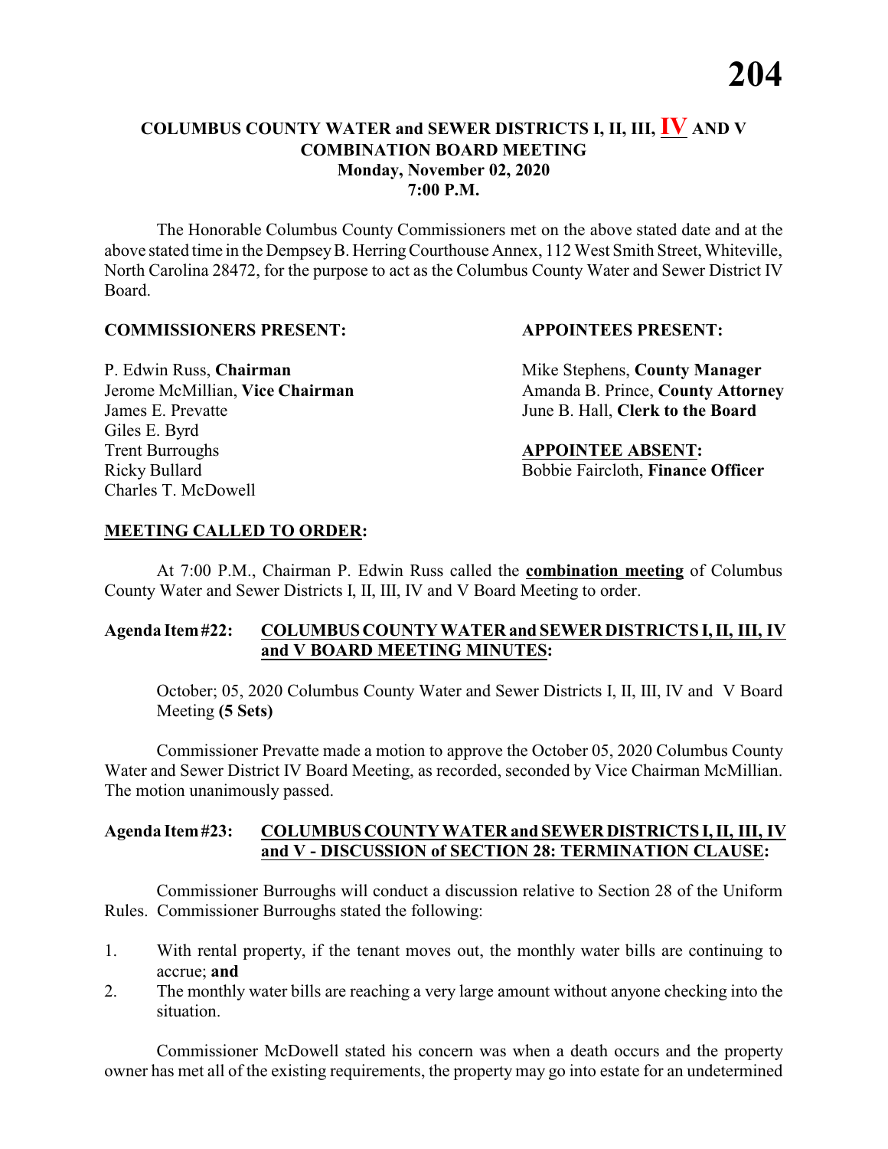### **COLUMBUS COUNTY WATER and SEWER DISTRICTS I, II, III, IV AND V COMBINATION BOARD MEETING Monday, November 02, 2020 7:00 P.M.**

The Honorable Columbus County Commissioners met on the above stated date and at the above stated time in the DempseyB. HerringCourthouse Annex, 112 West Smith Street, Whiteville, North Carolina 28472, for the purpose to act as the Columbus County Water and Sewer District IV Board.

### **COMMISSIONERS PRESENT: APPOINTEES PRESENT:**

James E. Prevatte June B. Hall, **Clerk to the Board** Giles E. Byrd **Trent Burroughs APPOINTEE ABSENT:** Ricky Bullard Bobbie Faircloth, **Finance Officer** Charles T. McDowell

P. Edwin Russ, **Chairman** Mike Stephens, **County Manager** Jerome McMillian, **Vice Chairman** Amanda B. Prince, **County Attorney** 

### **MEETING CALLED TO ORDER:**

At 7:00 P.M., Chairman P. Edwin Russ called the **combination meeting** of Columbus County Water and Sewer Districts I, II, III, IV and V Board Meeting to order.

### **Agenda Item#22: COLUMBUS COUNTY WATER and SEWER DISTRICTS I, II, III, IV and V BOARD MEETING MINUTES:**

October; 05, 2020 Columbus County Water and Sewer Districts I, II, III, IV and V Board Meeting **(5 Sets)**

Commissioner Prevatte made a motion to approve the October 05, 2020 Columbus County Water and Sewer District IV Board Meeting, as recorded, seconded by Vice Chairman McMillian. The motion unanimously passed.

### **Agenda Item#23: COLUMBUS COUNTY WATER and SEWERDISTRICTS I, II, III, IV and V - DISCUSSION of SECTION 28: TERMINATION CLAUSE:**

Commissioner Burroughs will conduct a discussion relative to Section 28 of the Uniform Rules. Commissioner Burroughs stated the following:

- 1. With rental property, if the tenant moves out, the monthly water bills are continuing to accrue; **and**
- 2. The monthly water bills are reaching a very large amount without anyone checking into the situation.

Commissioner McDowell stated his concern was when a death occurs and the property owner has met all of the existing requirements, the property may go into estate for an undetermined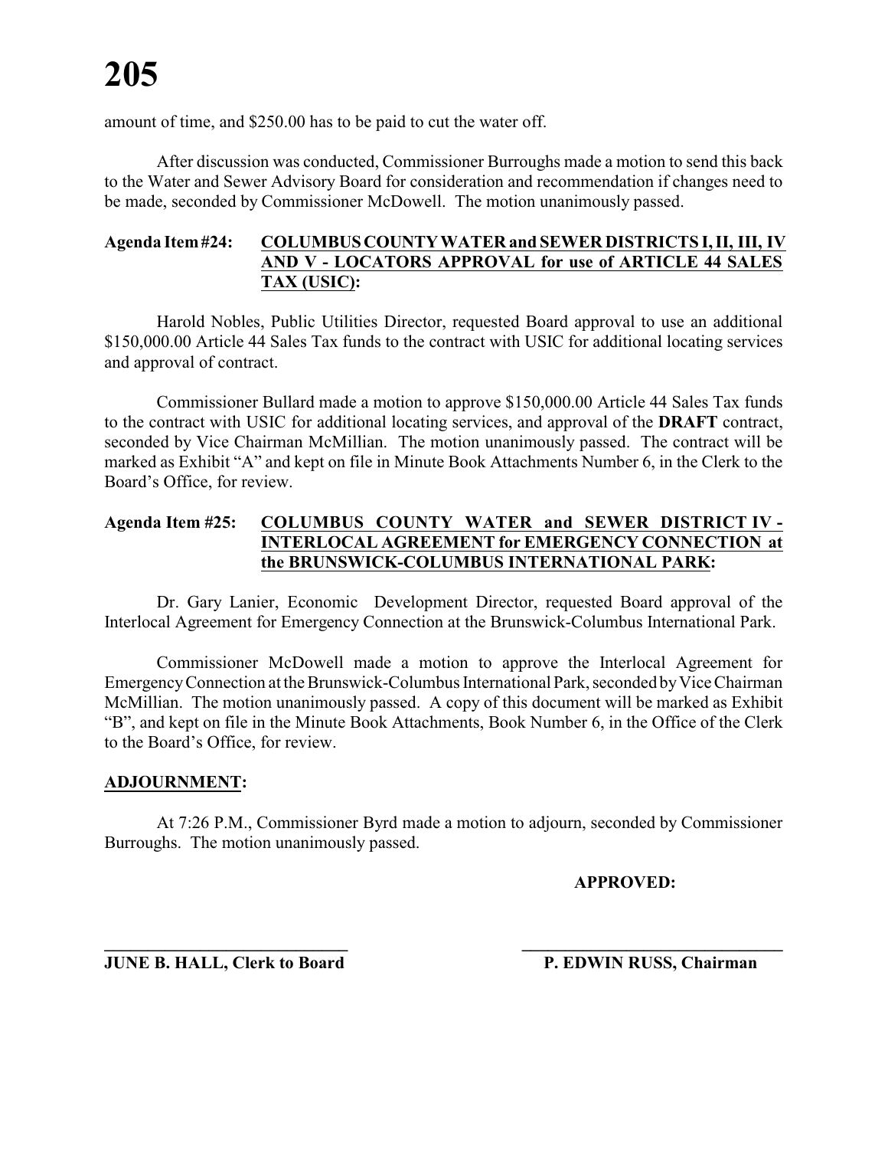amount of time, and \$250.00 has to be paid to cut the water off.

After discussion was conducted, Commissioner Burroughs made a motion to send this back to the Water and Sewer Advisory Board for consideration and recommendation if changes need to be made, seconded by Commissioner McDowell. The motion unanimously passed.

### **Agenda Item#24: COLUMBUSCOUNTYWATER and SEWER DISTRICTS I, II, III, IV AND V - LOCATORS APPROVAL for use of ARTICLE 44 SALES TAX (USIC):**

Harold Nobles, Public Utilities Director, requested Board approval to use an additional \$150,000.00 Article 44 Sales Tax funds to the contract with USIC for additional locating services and approval of contract.

Commissioner Bullard made a motion to approve \$150,000.00 Article 44 Sales Tax funds to the contract with USIC for additional locating services, and approval of the **DRAFT** contract, seconded by Vice Chairman McMillian. The motion unanimously passed. The contract will be marked as Exhibit "A" and kept on file in Minute Book Attachments Number 6, in the Clerk to the Board's Office, for review.

### **Agenda Item #25: COLUMBUS COUNTY WATER and SEWER DISTRICT IV - INTERLOCAL AGREEMENT for EMERGENCY CONNECTION at the BRUNSWICK-COLUMBUS INTERNATIONAL PARK:**

Dr. Gary Lanier, Economic Development Director, requested Board approval of the Interlocal Agreement for Emergency Connection at the Brunswick-Columbus International Park.

Commissioner McDowell made a motion to approve the Interlocal Agreement for EmergencyConnection at the Brunswick-Columbus International Park, seconded byVice Chairman McMillian. The motion unanimously passed. A copy of this document will be marked as Exhibit "B", and kept on file in the Minute Book Attachments, Book Number 6, in the Office of the Clerk to the Board's Office, for review.

### **ADJOURNMENT:**

At 7:26 P.M., Commissioner Byrd made a motion to adjourn, seconded by Commissioner Burroughs. The motion unanimously passed.

### **APPROVED:**

**JUNE B. HALL, Clerk to Board P. EDWIN RUSS, Chairman** 

**\_\_\_\_\_\_\_\_\_\_\_\_\_\_\_\_\_\_\_\_\_\_\_\_\_\_\_\_ \_\_\_\_\_\_\_\_\_\_\_\_\_\_\_\_\_\_\_\_\_\_\_\_\_\_\_\_\_\_**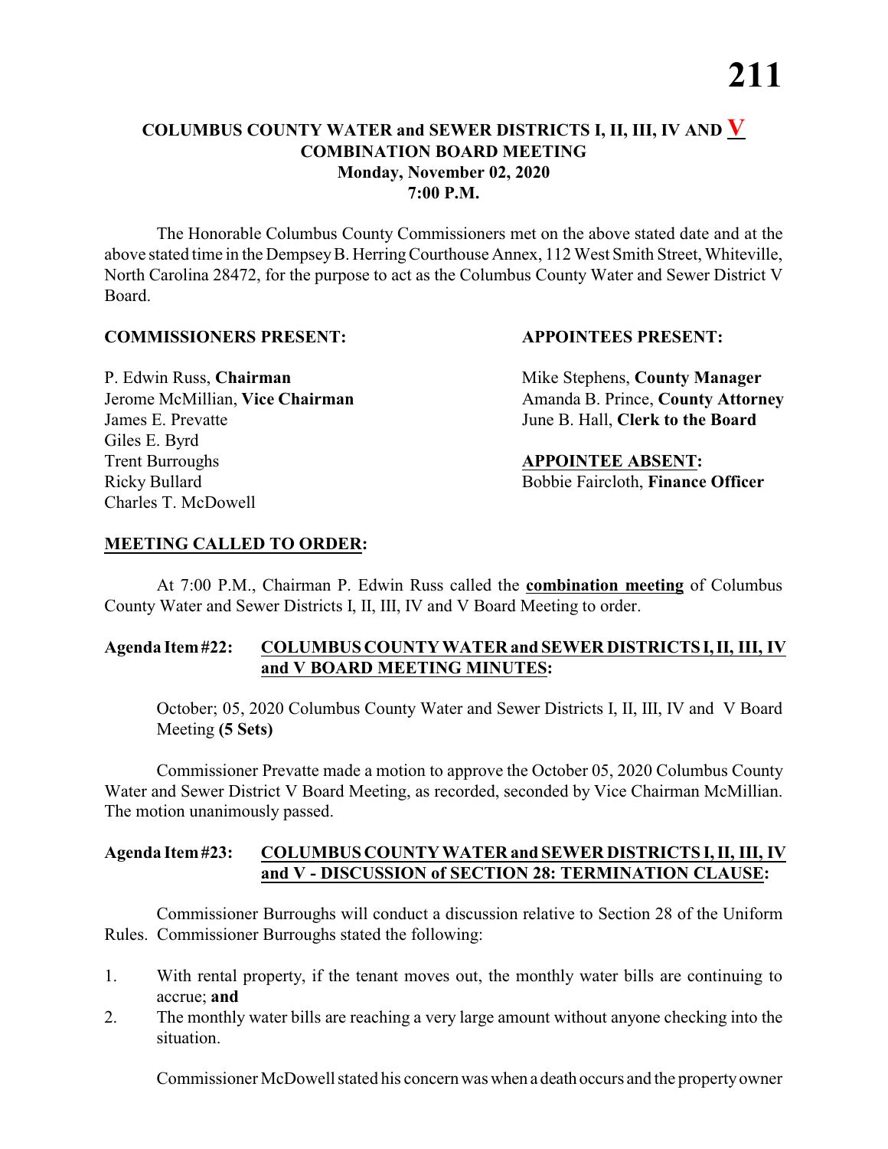### **COLUMBUS COUNTY WATER and SEWER DISTRICTS I, II, III, IV AND V COMBINATION BOARD MEETING Monday, November 02, 2020 7:00 P.M.**

The Honorable Columbus County Commissioners met on the above stated date and at the above stated time in the DempseyB. HerringCourthouse Annex, 112 West Smith Street, Whiteville, North Carolina 28472, for the purpose to act as the Columbus County Water and Sewer District V Board.

### **COMMISSIONERS PRESENT: APPOINTEES PRESENT:**

James E. Prevatte June B. Hall, **Clerk to the Board** Giles E. Byrd **Trent Burroughs APPOINTEE ABSENT:** Ricky Bullard **Bobbie Faircloth, Finance Officer** Charles T. McDowell

P. Edwin Russ, **Chairman** Mike Stephens, **County Manager** Jerome McMillian, Vice Chairman Amanda B. Prince, County Attorney

### **MEETING CALLED TO ORDER:**

At 7:00 P.M., Chairman P. Edwin Russ called the **combination meeting** of Columbus County Water and Sewer Districts I, II, III, IV and V Board Meeting to order.

### **Agenda Item#22: COLUMBUS COUNTY WATER and SEWER DISTRICTS I,II, III, IV and V BOARD MEETING MINUTES:**

October; 05, 2020 Columbus County Water and Sewer Districts I, II, III, IV and V Board Meeting **(5 Sets)**

Commissioner Prevatte made a motion to approve the October 05, 2020 Columbus County Water and Sewer District V Board Meeting, as recorded, seconded by Vice Chairman McMillian. The motion unanimously passed.

### **Agenda Item#23: COLUMBUS COUNTY WATER and SEWER DISTRICTS I, II, III, IV and V - DISCUSSION of SECTION 28: TERMINATION CLAUSE:**

Commissioner Burroughs will conduct a discussion relative to Section 28 of the Uniform Rules. Commissioner Burroughs stated the following:

- 1. With rental property, if the tenant moves out, the monthly water bills are continuing to accrue; **and**
- 2. The monthly water bills are reaching a very large amount without anyone checking into the situation.

Commissioner McDowell stated his concern was when a death occurs and the propertyowner